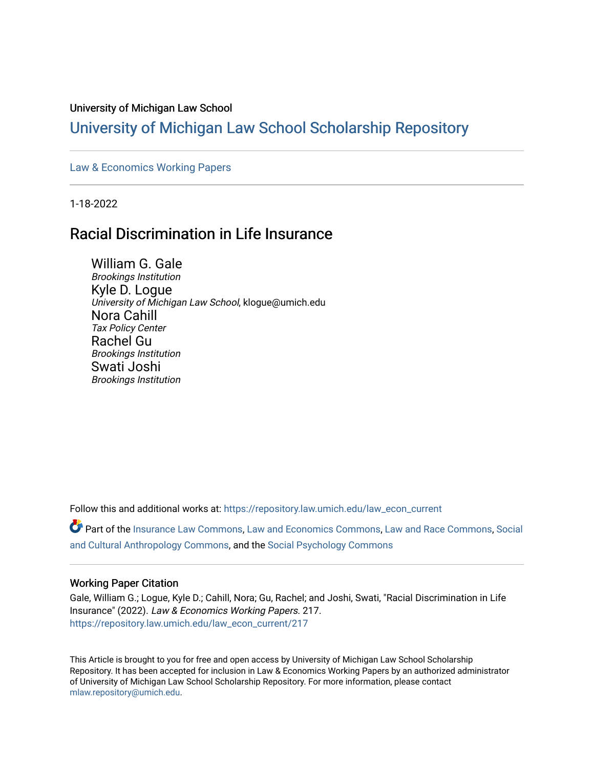#### University of Michigan Law School

# [University of Michigan Law School Scholarship Repository](https://repository.law.umich.edu/)

#### [Law & Economics Working Papers](https://repository.law.umich.edu/law_econ_current)

1-18-2022

# Racial Discrimination in Life Insurance

William G. Gale Brookings Institution Kyle D. Logue University of Michigan Law School, klogue@umich.edu Nora Cahill Tax Policy Center Rachel Gu Brookings Institution Swati Joshi Brookings Institution

Follow this and additional works at: [https://repository.law.umich.edu/law\\_econ\\_current](https://repository.law.umich.edu/law_econ_current?utm_source=repository.law.umich.edu%2Flaw_econ_current%2F217&utm_medium=PDF&utm_campaign=PDFCoverPages) 

Part of the [Insurance Law Commons](http://network.bepress.com/hgg/discipline/607?utm_source=repository.law.umich.edu%2Flaw_econ_current%2F217&utm_medium=PDF&utm_campaign=PDFCoverPages), [Law and Economics Commons](http://network.bepress.com/hgg/discipline/612?utm_source=repository.law.umich.edu%2Flaw_econ_current%2F217&utm_medium=PDF&utm_campaign=PDFCoverPages), [Law and Race Commons,](http://network.bepress.com/hgg/discipline/1300?utm_source=repository.law.umich.edu%2Flaw_econ_current%2F217&utm_medium=PDF&utm_campaign=PDFCoverPages) [Social](http://network.bepress.com/hgg/discipline/323?utm_source=repository.law.umich.edu%2Flaw_econ_current%2F217&utm_medium=PDF&utm_campaign=PDFCoverPages) [and Cultural Anthropology Commons](http://network.bepress.com/hgg/discipline/323?utm_source=repository.law.umich.edu%2Flaw_econ_current%2F217&utm_medium=PDF&utm_campaign=PDFCoverPages), and the [Social Psychology Commons](http://network.bepress.com/hgg/discipline/414?utm_source=repository.law.umich.edu%2Flaw_econ_current%2F217&utm_medium=PDF&utm_campaign=PDFCoverPages)

#### Working Paper Citation

Gale, William G.; Logue, Kyle D.; Cahill, Nora; Gu, Rachel; and Joshi, Swati, "Racial Discrimination in Life Insurance" (2022). Law & Economics Working Papers. 217. [https://repository.law.umich.edu/law\\_econ\\_current/217](https://repository.law.umich.edu/law_econ_current/217?utm_source=repository.law.umich.edu%2Flaw_econ_current%2F217&utm_medium=PDF&utm_campaign=PDFCoverPages) 

This Article is brought to you for free and open access by University of Michigan Law School Scholarship Repository. It has been accepted for inclusion in Law & Economics Working Papers by an authorized administrator of University of Michigan Law School Scholarship Repository. For more information, please contact [mlaw.repository@umich.edu.](mailto:mlaw.repository@umich.edu)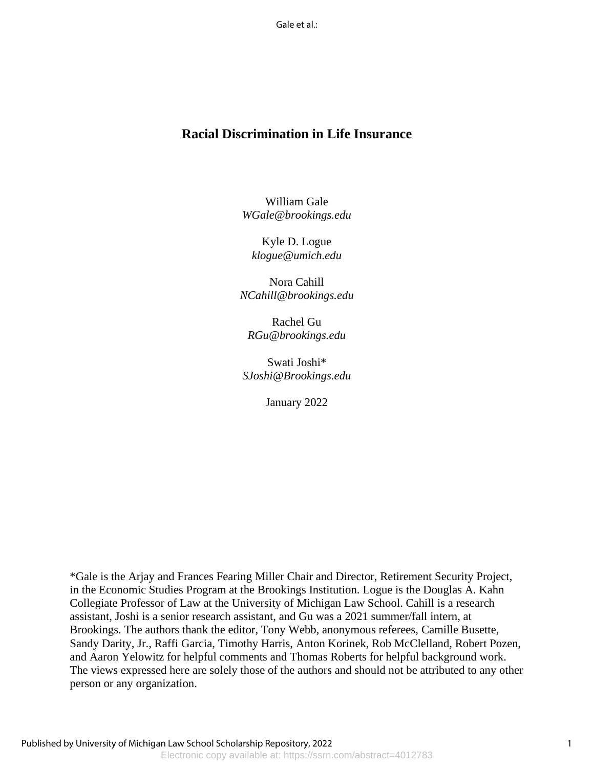Gale et al.:

## **Racial Discrimination in Life Insurance**

William Gale *WGale@brookings.edu*

Kyle D. Logue *klogue@umich.edu*

Nora Cahill *NCahill@brookings.edu*

Rachel Gu *RGu@brookings.edu*

Swati Joshi\* *SJoshi@Brookings.edu*

January 2022

\*Gale is the Arjay and Frances Fearing Miller Chair and Director, Retirement Security Project, in the Economic Studies Program at the Brookings Institution. Logue is the Douglas A. Kahn Collegiate Professor of Law at the University of Michigan Law School. Cahill is a research assistant, Joshi is a senior research assistant, and Gu was a 2021 summer/fall intern, at Brookings. The authors thank the editor, Tony Webb, anonymous referees, Camille Busette, Sandy Darity, Jr., Raffi Garcia, Timothy Harris, Anton Korinek, Rob McClelland, Robert Pozen, and Aaron Yelowitz for helpful comments and Thomas Roberts for helpful background work. The views expressed here are solely those of the authors and should not be attributed to any other person or any organization.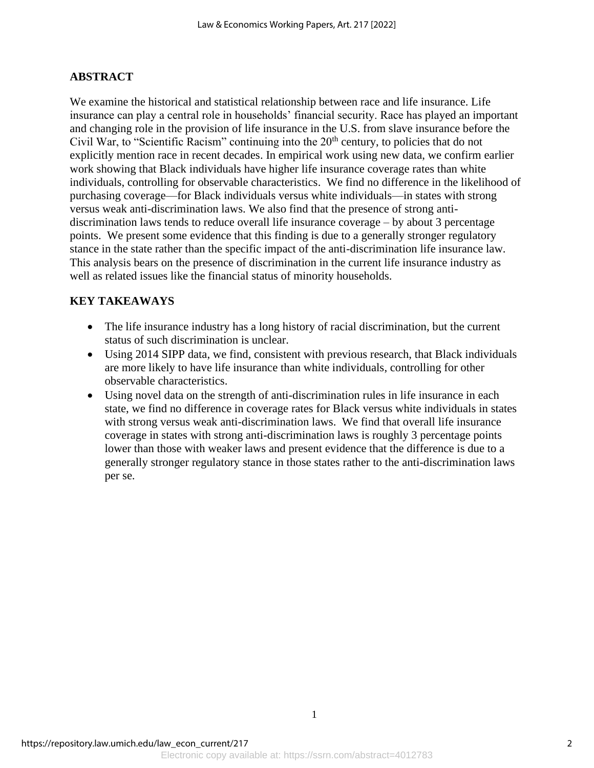### **ABSTRACT**

We examine the historical and statistical relationship between race and life insurance. Life insurance can play a central role in households' financial security. Race has played an important and changing role in the provision of life insurance in the U.S. from slave insurance before the Civil War, to "Scientific Racism" continuing into the  $20<sup>th</sup>$  century, to policies that do not explicitly mention race in recent decades. In empirical work using new data, we confirm earlier work showing that Black individuals have higher life insurance coverage rates than white individuals, controlling for observable characteristics. We find no difference in the likelihood of purchasing coverage—for Black individuals versus white individuals—in states with strong versus weak anti-discrimination laws. We also find that the presence of strong antidiscrimination laws tends to reduce overall life insurance coverage – by about 3 percentage points. We present some evidence that this finding is due to a generally stronger regulatory stance in the state rather than the specific impact of the anti-discrimination life insurance law. This analysis bears on the presence of discrimination in the current life insurance industry as well as related issues like the financial status of minority households.

### **KEY TAKEAWAYS**

- The life insurance industry has a long history of racial discrimination, but the current status of such discrimination is unclear.
- Using 2014 SIPP data, we find, consistent with previous research, that Black individuals are more likely to have life insurance than white individuals, controlling for other observable characteristics.
- Using novel data on the strength of anti-discrimination rules in life insurance in each state, we find no difference in coverage rates for Black versus white individuals in states with strong versus weak anti-discrimination laws. We find that overall life insurance coverage in states with strong anti-discrimination laws is roughly 3 percentage points lower than those with weaker laws and present evidence that the difference is due to a generally stronger regulatory stance in those states rather to the anti-discrimination laws per se.

1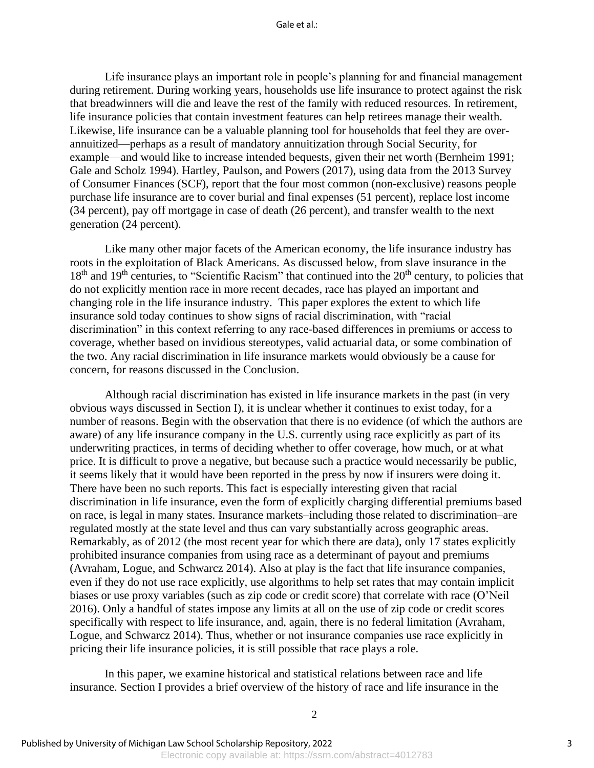#### Gale et al $\cdot$

Life insurance plays an important role in people's planning for and financial management during retirement. During working years, households use life insurance to protect against the risk that breadwinners will die and leave the rest of the family with reduced resources. In retirement, life insurance policies that contain investment features can help retirees manage their wealth. Likewise, life insurance can be a valuable planning tool for households that feel they are overannuitized—perhaps as a result of mandatory annuitization through Social Security, for example—and would like to increase intended bequests, given their net worth (Bernheim 1991; Gale and Scholz 1994). Hartley, Paulson, and Powers (2017), using data from the 2013 Survey of Consumer Finances (SCF), report that the four most common (non-exclusive) reasons people purchase life insurance are to cover burial and final expenses (51 percent), replace lost income (34 percent), pay off mortgage in case of death (26 percent), and transfer wealth to the next generation (24 percent).

Like many other major facets of the American economy, the life insurance industry has roots in the exploitation of Black Americans. As discussed below, from slave insurance in the 18<sup>th</sup> and 19<sup>th</sup> centuries, to "Scientific Racism" that continued into the 20<sup>th</sup> century, to policies that do not explicitly mention race in more recent decades, race has played an important and changing role in the life insurance industry. This paper explores the extent to which life insurance sold today continues to show signs of racial discrimination, with "racial discrimination" in this context referring to any race-based differences in premiums or access to coverage, whether based on invidious stereotypes, valid actuarial data, or some combination of the two. Any racial discrimination in life insurance markets would obviously be a cause for concern, for reasons discussed in the Conclusion.

Although racial discrimination has existed in life insurance markets in the past (in very obvious ways discussed in Section I), it is unclear whether it continues to exist today, for a number of reasons. Begin with the observation that there is no evidence (of which the authors are aware) of any life insurance company in the U.S. currently using race explicitly as part of its underwriting practices, in terms of deciding whether to offer coverage, how much, or at what price. It is difficult to prove a negative, but because such a practice would necessarily be public, it seems likely that it would have been reported in the press by now if insurers were doing it. There have been no such reports. This fact is especially interesting given that racial discrimination in life insurance, even the form of explicitly charging differential premiums based on race, is legal in many states. Insurance markets–including those related to discrimination–are regulated mostly at the state level and thus can vary substantially across geographic areas. Remarkably, as of 2012 (the most recent year for which there are data), only 17 states explicitly prohibited insurance companies from using race as a determinant of payout and premiums (Avraham, Logue, and Schwarcz 2014). Also at play is the fact that life insurance companies, even if they do not use race explicitly, use algorithms to help set rates that may contain implicit biases or use proxy variables (such as zip code or credit score) that correlate with race (O'Neil 2016). Only a handful of states impose any limits at all on the use of zip code or credit scores specifically with respect to life insurance, and, again, there is no federal limitation (Avraham, Logue, and Schwarcz 2014). Thus, whether or not insurance companies use race explicitly in pricing their life insurance policies, it is still possible that race plays a role.

In this paper, we examine historical and statistical relations between race and life insurance. Section I provides a brief overview of the history of race and life insurance in the

2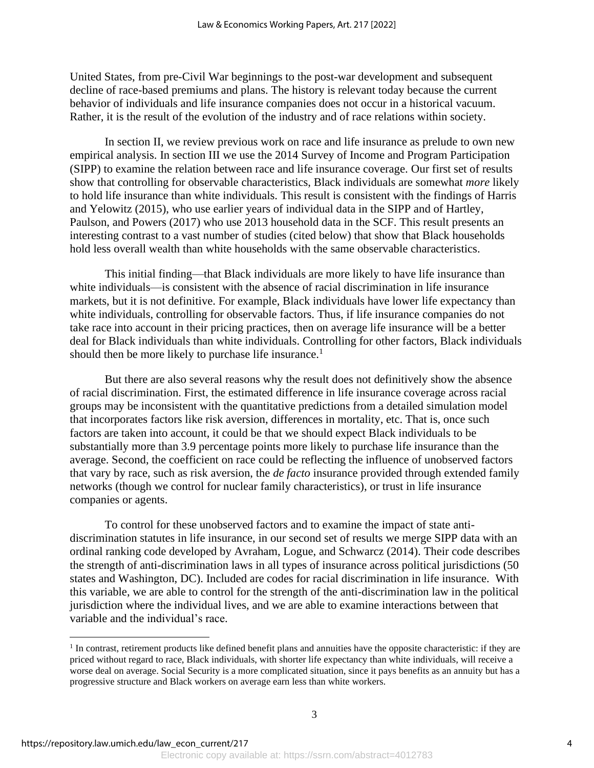United States, from pre-Civil War beginnings to the post-war development and subsequent decline of race-based premiums and plans. The history is relevant today because the current behavior of individuals and life insurance companies does not occur in a historical vacuum. Rather, it is the result of the evolution of the industry and of race relations within society.

In section II, we review previous work on race and life insurance as prelude to own new empirical analysis. In section III we use the 2014 Survey of Income and Program Participation (SIPP) to examine the relation between race and life insurance coverage. Our first set of results show that controlling for observable characteristics, Black individuals are somewhat *more* likely to hold life insurance than white individuals. This result is consistent with the findings of Harris and Yelowitz (2015), who use earlier years of individual data in the SIPP and of Hartley, Paulson, and Powers (2017) who use 2013 household data in the SCF. This result presents an interesting contrast to a vast number of studies (cited below) that show that Black households hold less overall wealth than white households with the same observable characteristics.

This initial finding—that Black individuals are more likely to have life insurance than white individuals—is consistent with the absence of racial discrimination in life insurance markets, but it is not definitive. For example, Black individuals have lower life expectancy than white individuals, controlling for observable factors. Thus, if life insurance companies do not take race into account in their pricing practices, then on average life insurance will be a better deal for Black individuals than white individuals. Controlling for other factors, Black individuals should then be more likely to purchase life insurance.<sup>1</sup>

But there are also several reasons why the result does not definitively show the absence of racial discrimination. First, the estimated difference in life insurance coverage across racial groups may be inconsistent with the quantitative predictions from a detailed simulation model that incorporates factors like risk aversion, differences in mortality, etc. That is, once such factors are taken into account, it could be that we should expect Black individuals to be substantially more than 3.9 percentage points more likely to purchase life insurance than the average. Second, the coefficient on race could be reflecting the influence of unobserved factors that vary by race, such as risk aversion, the *de facto* insurance provided through extended family networks (though we control for nuclear family characteristics), or trust in life insurance companies or agents.

To control for these unobserved factors and to examine the impact of state antidiscrimination statutes in life insurance, in our second set of results we merge SIPP data with an ordinal ranking code developed by Avraham, Logue, and Schwarcz (2014). Their code describes the strength of anti-discrimination laws in all types of insurance across political jurisdictions (50 states and Washington, DC). Included are codes for racial discrimination in life insurance. With this variable, we are able to control for the strength of the anti-discrimination law in the political jurisdiction where the individual lives, and we are able to examine interactions between that variable and the individual's race.

<sup>&</sup>lt;sup>1</sup> In contrast, retirement products like defined benefit plans and annuities have the opposite characteristic: if they are priced without regard to race, Black individuals, with shorter life expectancy than white individuals, will receive a worse deal on average. Social Security is a more complicated situation, since it pays benefits as an annuity but has a progressive structure and Black workers on average earn less than white workers.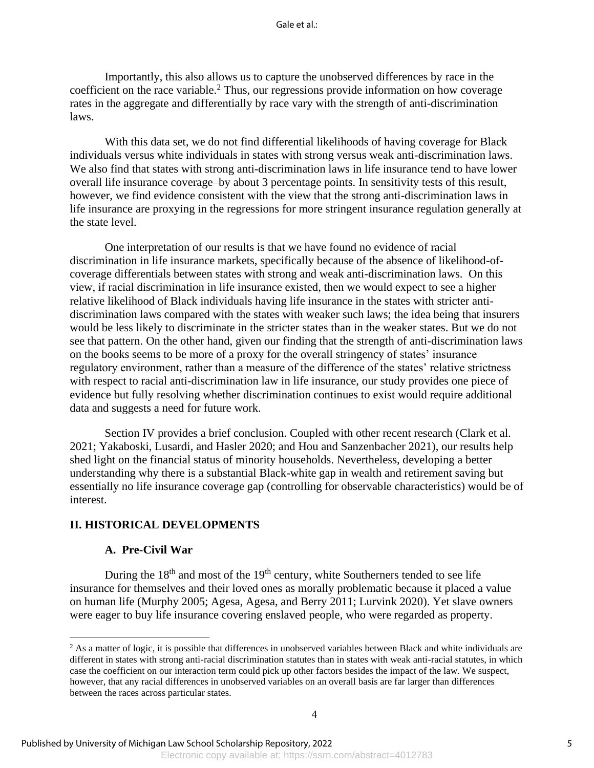#### Gale et al $\cdot$

Importantly, this also allows us to capture the unobserved differences by race in the coefficient on the race variable.<sup>2</sup> Thus, our regressions provide information on how coverage rates in the aggregate and differentially by race vary with the strength of anti-discrimination laws.

With this data set, we do not find differential likelihoods of having coverage for Black individuals versus white individuals in states with strong versus weak anti-discrimination laws. We also find that states with strong anti-discrimination laws in life insurance tend to have lower overall life insurance coverage–by about 3 percentage points. In sensitivity tests of this result, however, we find evidence consistent with the view that the strong anti-discrimination laws in life insurance are proxying in the regressions for more stringent insurance regulation generally at the state level.

One interpretation of our results is that we have found no evidence of racial discrimination in life insurance markets, specifically because of the absence of likelihood-ofcoverage differentials between states with strong and weak anti-discrimination laws. On this view, if racial discrimination in life insurance existed, then we would expect to see a higher relative likelihood of Black individuals having life insurance in the states with stricter antidiscrimination laws compared with the states with weaker such laws; the idea being that insurers would be less likely to discriminate in the stricter states than in the weaker states. But we do not see that pattern. On the other hand, given our finding that the strength of anti-discrimination laws on the books seems to be more of a proxy for the overall stringency of states' insurance regulatory environment, rather than a measure of the difference of the states' relative strictness with respect to racial anti-discrimination law in life insurance, our study provides one piece of evidence but fully resolving whether discrimination continues to exist would require additional data and suggests a need for future work.

Section IV provides a brief conclusion. Coupled with other recent research (Clark et al. 2021; Yakaboski, Lusardi, and Hasler 2020; and Hou and Sanzenbacher 2021), our results help shed light on the financial status of minority households. Nevertheless, developing a better understanding why there is a substantial Black-white gap in wealth and retirement saving but essentially no life insurance coverage gap (controlling for observable characteristics) would be of interest.

#### **II. HISTORICAL DEVELOPMENTS**

### **A. Pre-Civil War**

During the  $18<sup>th</sup>$  and most of the  $19<sup>th</sup>$  century, white Southerners tended to see life insurance for themselves and their loved ones as morally problematic because it placed a value on human life (Murphy 2005; Agesa, Agesa, and Berry 2011; Lurvink 2020). Yet slave owners were eager to buy life insurance covering enslaved people, who were regarded as property.

 $<sup>2</sup>$  As a matter of logic, it is possible that differences in unobserved variables between Black and white individuals are</sup> different in states with strong anti-racial discrimination statutes than in states with weak anti-racial statutes, in which case the coefficient on our interaction term could pick up other factors besides the impact of the law. We suspect, however, that any racial differences in unobserved variables on an overall basis are far larger than differences between the races across particular states.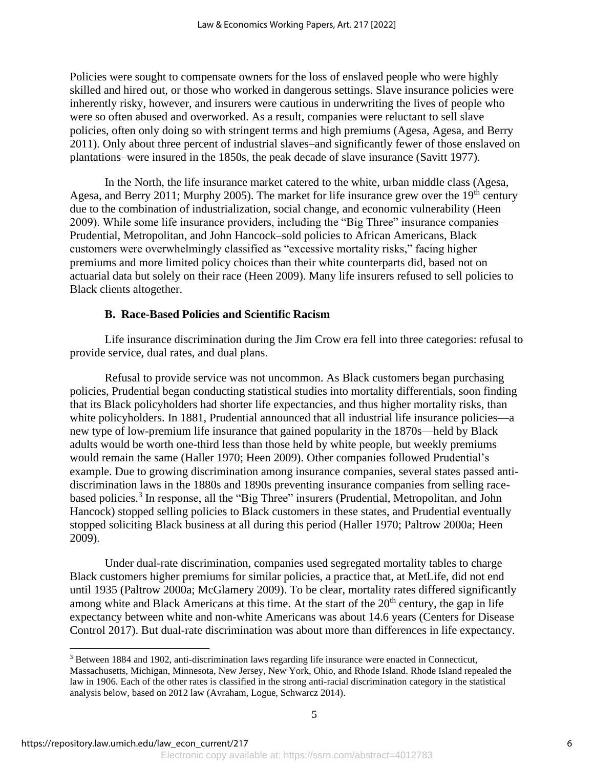Policies were sought to compensate owners for the loss of enslaved people who were highly skilled and hired out, or those who worked in dangerous settings. Slave insurance policies were inherently risky, however, and insurers were cautious in underwriting the lives of people who were so often abused and overworked. As a result, companies were reluctant to sell slave policies, often only doing so with stringent terms and high premiums (Agesa, Agesa, and Berry 2011). Only about three percent of industrial slaves–and significantly fewer of those enslaved on plantations–were insured in the 1850s, the peak decade of slave insurance (Savitt 1977).

In the North, the life insurance market catered to the white, urban middle class (Agesa, Agesa, and Berry 2011; Murphy 2005). The market for life insurance grew over the  $19<sup>th</sup>$  century due to the combination of industrialization, social change, and economic vulnerability (Heen 2009). While some life insurance providers, including the "Big Three" insurance companies– Prudential, Metropolitan, and John Hancock–sold policies to African Americans, Black customers were overwhelmingly classified as "excessive mortality risks," facing higher premiums and more limited policy choices than their white counterparts did, based not on actuarial data but solely on their race (Heen 2009). Many life insurers refused to sell policies to Black clients altogether.

#### **B. Race-Based Policies and Scientific Racism**

Life insurance discrimination during the Jim Crow era fell into three categories: refusal to provide service, dual rates, and dual plans.

Refusal to provide service was not uncommon. As Black customers began purchasing policies, Prudential began conducting statistical studies into mortality differentials, soon finding that its Black policyholders had shorter life expectancies, and thus higher mortality risks, than white policyholders. In 1881, Prudential announced that all industrial life insurance policies—a new type of low-premium life insurance that gained popularity in the 1870s—held by Black adults would be worth one-third less than those held by white people, but weekly premiums would remain the same (Haller 1970; Heen 2009). Other companies followed Prudential's example. Due to growing discrimination among insurance companies, several states passed antidiscrimination laws in the 1880s and 1890s preventing insurance companies from selling racebased policies.<sup>3</sup> In response, all the "Big Three" insurers (Prudential, Metropolitan, and John Hancock) stopped selling policies to Black customers in these states, and Prudential eventually stopped soliciting Black business at all during this period (Haller 1970; Paltrow 2000a; Heen 2009).

Under dual-rate discrimination, companies used segregated mortality tables to charge Black customers higher premiums for similar policies, a practice that, at MetLife, did not end until 1935 (Paltrow 2000a; McGlamery 2009). To be clear, mortality rates differed significantly among white and Black Americans at this time. At the start of the  $20<sup>th</sup>$  century, the gap in life expectancy between white and non-white Americans was about 14.6 years (Centers for Disease Control 2017). But dual-rate discrimination was about more than differences in life expectancy.

<sup>3</sup> Between 1884 and 1902, anti-discrimination laws regarding life insurance were enacted in Connecticut, Massachusetts, Michigan, Minnesota, New Jersey, New York, Ohio, and Rhode Island. Rhode Island repealed the law in 1906. Each of the other rates is classified in the strong anti-racial discrimination category in the statistical analysis below, based on 2012 law (Avraham, Logue, Schwarcz 2014).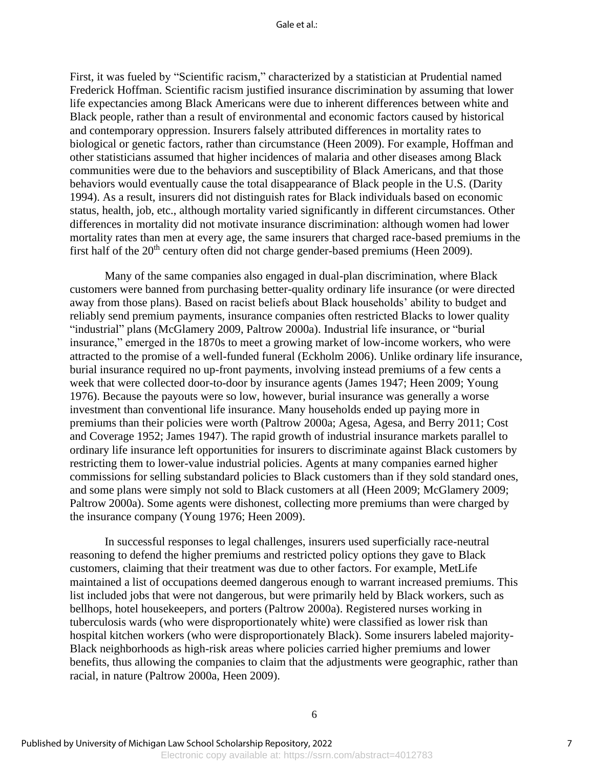First, it was fueled by "Scientific racism," characterized by a statistician at Prudential named Frederick Hoffman. Scientific racism justified insurance discrimination by assuming that lower life expectancies among Black Americans were due to inherent differences between white and Black people, rather than a result of environmental and economic factors caused by historical and contemporary oppression. Insurers falsely attributed differences in mortality rates to biological or genetic factors, rather than circumstance (Heen 2009). For example, Hoffman and other statisticians assumed that higher incidences of malaria and other diseases among Black communities were due to the behaviors and susceptibility of Black Americans, and that those behaviors would eventually cause the total disappearance of Black people in the U.S. (Darity 1994). As a result, insurers did not distinguish rates for Black individuals based on economic status, health, job, etc., although mortality varied significantly in different circumstances. Other differences in mortality did not motivate insurance discrimination: although women had lower mortality rates than men at every age, the same insurers that charged race-based premiums in the first half of the 20th century often did not charge gender-based premiums (Heen 2009).

Many of the same companies also engaged in dual-plan discrimination, where Black customers were banned from purchasing better-quality ordinary life insurance (or were directed away from those plans). Based on racist beliefs about Black households' ability to budget and reliably send premium payments, insurance companies often restricted Blacks to lower quality "industrial" plans (McGlamery 2009, Paltrow 2000a). Industrial life insurance, or "burial insurance," emerged in the 1870s to meet a growing market of low-income workers, who were attracted to the promise of a well-funded funeral (Eckholm 2006). Unlike ordinary life insurance, burial insurance required no up-front payments, involving instead premiums of a few cents a week that were collected door-to-door by insurance agents (James 1947; Heen 2009; Young 1976). Because the payouts were so low, however, burial insurance was generally a worse investment than conventional life insurance. Many households ended up paying more in premiums than their policies were worth (Paltrow 2000a; Agesa, Agesa, and Berry 2011; Cost and Coverage 1952; James 1947). The rapid growth of industrial insurance markets parallel to ordinary life insurance left opportunities for insurers to discriminate against Black customers by restricting them to lower-value industrial policies. Agents at many companies earned higher commissions for selling substandard policies to Black customers than if they sold standard ones, and some plans were simply not sold to Black customers at all (Heen 2009; McGlamery 2009; Paltrow 2000a). Some agents were dishonest, collecting more premiums than were charged by the insurance company (Young 1976; Heen 2009).

In successful responses to legal challenges, insurers used superficially race-neutral reasoning to defend the higher premiums and restricted policy options they gave to Black customers, claiming that their treatment was due to other factors. For example, MetLife maintained a list of occupations deemed dangerous enough to warrant increased premiums. This list included jobs that were not dangerous, but were primarily held by Black workers, such as bellhops, hotel housekeepers, and porters (Paltrow 2000a). Registered nurses working in tuberculosis wards (who were disproportionately white) were classified as lower risk than hospital kitchen workers (who were disproportionately Black). Some insurers labeled majority-Black neighborhoods as high-risk areas where policies carried higher premiums and lower benefits, thus allowing the companies to claim that the adjustments were geographic, rather than racial, in nature (Paltrow 2000a, Heen 2009).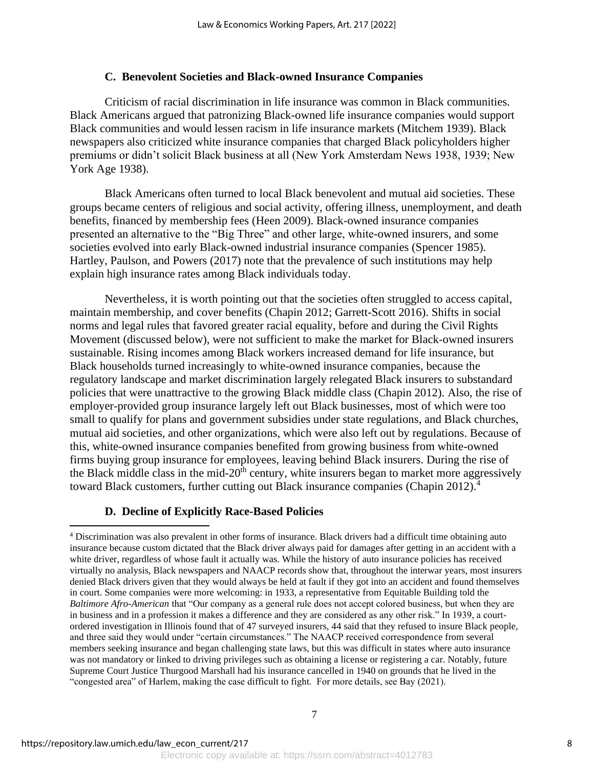#### **C. Benevolent Societies and Black-owned Insurance Companies**

Criticism of racial discrimination in life insurance was common in Black communities. Black Americans argued that patronizing Black-owned life insurance companies would support Black communities and would lessen racism in life insurance markets (Mitchem 1939). Black newspapers also criticized white insurance companies that charged Black policyholders higher premiums or didn't solicit Black business at all (New York Amsterdam News 1938, 1939; New York Age 1938).

Black Americans often turned to local Black benevolent and mutual aid societies. These groups became centers of religious and social activity, offering illness, unemployment, and death benefits, financed by membership fees (Heen 2009). Black-owned insurance companies presented an alternative to the "Big Three" and other large, white-owned insurers, and some societies evolved into early Black-owned industrial insurance companies (Spencer 1985). Hartley, Paulson, and Powers (2017) note that the prevalence of such institutions may help explain high insurance rates among Black individuals today.

Nevertheless, it is worth pointing out that the societies often struggled to access capital, maintain membership, and cover benefits (Chapin 2012; Garrett-Scott 2016). Shifts in social norms and legal rules that favored greater racial equality, before and during the Civil Rights Movement (discussed below), were not sufficient to make the market for Black-owned insurers sustainable. Rising incomes among Black workers increased demand for life insurance, but Black households turned increasingly to white-owned insurance companies, because the regulatory landscape and market discrimination largely relegated Black insurers to substandard policies that were unattractive to the growing Black middle class (Chapin 2012). Also, the rise of employer-provided group insurance largely left out Black businesses, most of which were too small to qualify for plans and government subsidies under state regulations, and Black churches, mutual aid societies, and other organizations, which were also left out by regulations. Because of this, white-owned insurance companies benefited from growing business from white-owned firms buying group insurance for employees, leaving behind Black insurers. During the rise of the Black middle class in the mid- $20<sup>th</sup>$  century, white insurers began to market more aggressively toward Black customers, further cutting out Black insurance companies (Chapin 2012).<sup>4</sup>

#### **D. Decline of Explicitly Race-Based Policies**

<sup>4</sup> Discrimination was also prevalent in other forms of insurance. Black drivers had a difficult time obtaining auto insurance because custom dictated that the Black driver always paid for damages after getting in an accident with a white driver, regardless of whose fault it actually was. While the history of auto insurance policies has received virtually no analysis, Black newspapers and NAACP records show that, throughout the interwar years, most insurers denied Black drivers given that they would always be held at fault if they got into an accident and found themselves in court. Some companies were more welcoming: in 1933, a representative from Equitable Building told the *Baltimore Afro-American* that "Our company as a general rule does not accept colored business, but when they are in business and in a profession it makes a difference and they are considered as any other risk." In 1939, a courtordered investigation in Illinois found that of 47 surveyed insurers, 44 said that they refused to insure Black people, and three said they would under "certain circumstances." The NAACP received correspondence from several members seeking insurance and began challenging state laws, but this was difficult in states where auto insurance was not mandatory or linked to driving privileges such as obtaining a license or registering a car. Notably, future Supreme Court Justice Thurgood Marshall had his insurance cancelled in 1940 on grounds that he lived in the "congested area" of Harlem, making the case difficult to fight. For more details, see Bay (2021).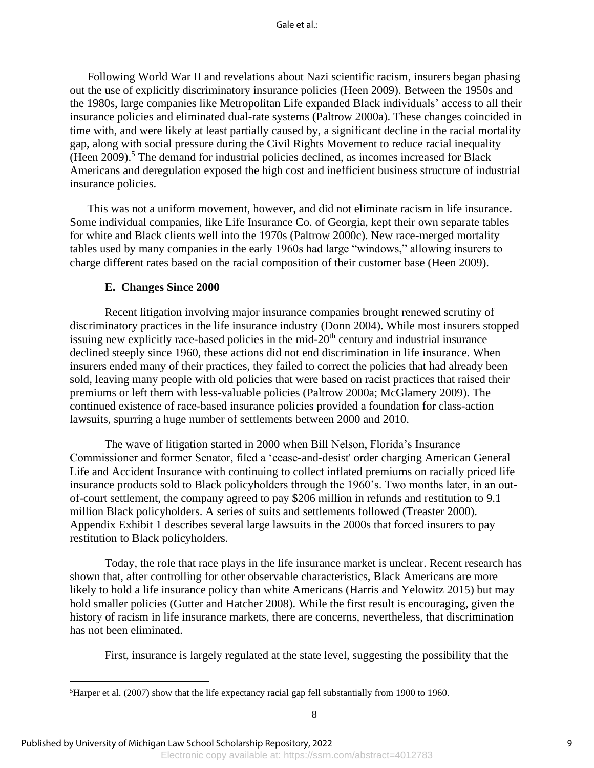Following World War II and revelations about Nazi scientific racism, insurers began phasing out the use of explicitly discriminatory insurance policies (Heen 2009). Between the 1950s and the 1980s, large companies like Metropolitan Life expanded Black individuals' access to all their insurance policies and eliminated dual-rate systems (Paltrow 2000a). These changes coincided in time with, and were likely at least partially caused by, a significant decline in the racial mortality gap, along with social pressure during the Civil Rights Movement to reduce racial inequality  $(Heen 2009).$ <sup>5</sup> The demand for industrial policies declined, as incomes increased for Black Americans and deregulation exposed the high cost and inefficient business structure of industrial insurance policies.

This was not a uniform movement, however, and did not eliminate racism in life insurance. Some individual companies, like Life Insurance Co. of Georgia, kept their own separate tables for white and Black clients well into the 1970s (Paltrow 2000c). New race-merged mortality tables used by many companies in the early 1960s had large "windows," allowing insurers to charge different rates based on the racial composition of their customer base (Heen 2009).

#### **E. Changes Since 2000**

Recent litigation involving major insurance companies brought renewed scrutiny of discriminatory practices in the life insurance industry (Donn 2004). While most insurers stopped issuing new explicitly race-based policies in the mid- $20<sup>th</sup>$  century and industrial insurance declined steeply since 1960, these actions did not end discrimination in life insurance. When insurers ended many of their practices, they failed to correct the policies that had already been sold, leaving many people with old policies that were based on racist practices that raised their premiums or left them with less-valuable policies (Paltrow 2000a; McGlamery 2009). The continued existence of race-based insurance policies provided a foundation for class-action lawsuits, spurring a huge number of settlements between 2000 and 2010.

The wave of litigation started in 2000 when Bill Nelson, Florida's Insurance Commissioner and former Senator, filed a 'cease-and-desist' order charging American General Life and Accident Insurance with continuing to collect inflated premiums on racially priced life insurance products sold to Black policyholders through the 1960's. Two months later, in an outof-court settlement, the company agreed to pay \$206 million in refunds and restitution to 9.1 million Black policyholders. A series of suits and settlements followed (Treaster 2000). Appendix Exhibit 1 describes several large lawsuits in the 2000s that forced insurers to pay restitution to Black policyholders.

Today, the role that race plays in the life insurance market is unclear. Recent research has shown that, after controlling for other observable characteristics, Black Americans are more likely to hold a life insurance policy than white Americans (Harris and Yelowitz 2015) but may hold smaller policies (Gutter and Hatcher 2008). While the first result is encouraging, given the history of racism in life insurance markets, there are concerns, nevertheless, that discrimination has not been eliminated.

First, insurance is largely regulated at the state level, suggesting the possibility that the

Electronic copy available at: https://ssrn.com/abstract=4012783

<sup>&</sup>lt;sup>5</sup>Harper et al. (2007) show that the life expectancy racial gap fell substantially from 1900 to 1960.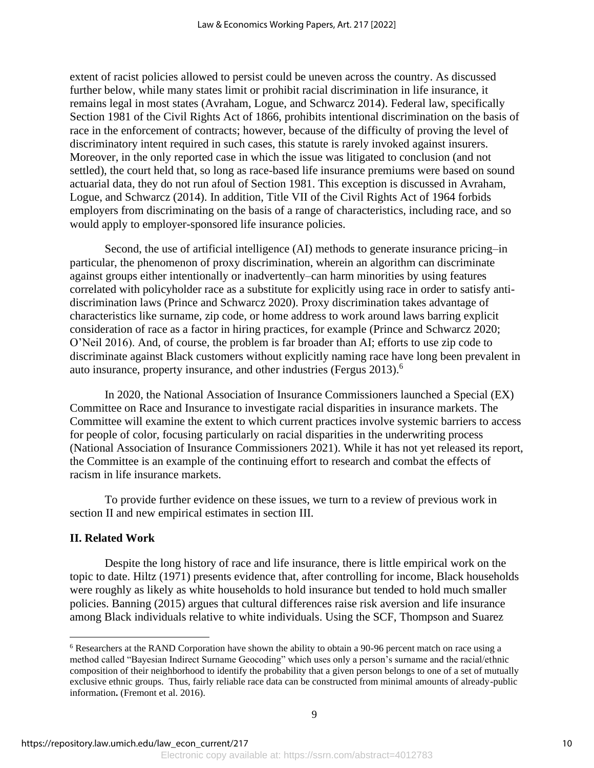extent of racist policies allowed to persist could be uneven across the country. As discussed further below, while many states limit or prohibit racial discrimination in life insurance, it remains legal in most states (Avraham, Logue, and Schwarcz 2014). Federal law, specifically Section 1981 of the Civil Rights Act of 1866, prohibits intentional discrimination on the basis of race in the enforcement of contracts; however, because of the difficulty of proving the level of discriminatory intent required in such cases, this statute is rarely invoked against insurers. Moreover, in the only reported case in which the issue was litigated to conclusion (and not settled), the court held that, so long as race-based life insurance premiums were based on sound actuarial data, they do not run afoul of Section 1981. This exception is discussed in Avraham, Logue, and Schwarcz (2014). In addition, Title VII of the Civil Rights Act of 1964 forbids employers from discriminating on the basis of a range of characteristics, including race, and so would apply to employer-sponsored life insurance policies.

Second, the use of artificial intelligence (AI) methods to generate insurance pricing–in particular, the phenomenon of proxy discrimination, wherein an algorithm can discriminate against groups either intentionally or inadvertently–can harm minorities by using features correlated with policyholder race as a substitute for explicitly using race in order to satisfy antidiscrimination laws (Prince and Schwarcz 2020). Proxy discrimination takes advantage of characteristics like surname, zip code, or home address to work around laws barring explicit consideration of race as a factor in hiring practices, for example (Prince and Schwarcz 2020; O'Neil 2016). And, of course, the problem is far broader than AI; efforts to use zip code to discriminate against Black customers without explicitly naming race have long been prevalent in auto insurance, property insurance, and other industries (Fergus 2013).<sup>6</sup>

In 2020, the National Association of Insurance Commissioners launched a Special (EX) Committee on Race and Insurance to investigate racial disparities in insurance markets. The Committee will examine the extent to which current practices involve systemic barriers to access for people of color, focusing particularly on racial disparities in the underwriting process (National Association of Insurance Commissioners 2021). While it has not yet released its report, the Committee is an example of the continuing effort to research and combat the effects of racism in life insurance markets.

To provide further evidence on these issues, we turn to a review of previous work in section II and new empirical estimates in section III.

### **II. Related Work**

Despite the long history of race and life insurance, there is little empirical work on the topic to date. Hiltz (1971) presents evidence that, after controlling for income, Black households were roughly as likely as white households to hold insurance but tended to hold much smaller policies. Banning (2015) argues that cultural differences raise risk aversion and life insurance among Black individuals relative to white individuals. Using the SCF, Thompson and Suarez

<sup>6</sup> Researchers at the RAND Corporation have shown the ability to obtain a 90-96 percent match on race using a method called "Bayesian Indirect Surname Geocoding" which uses only a person's surname and the racial/ethnic composition of their neighborhood to identify the probability that a given person belongs to one of a set of mutually exclusive ethnic groups. Thus, fairly reliable race data can be constructed from minimal amounts of already-public information**.** (Fremont et al. 2016).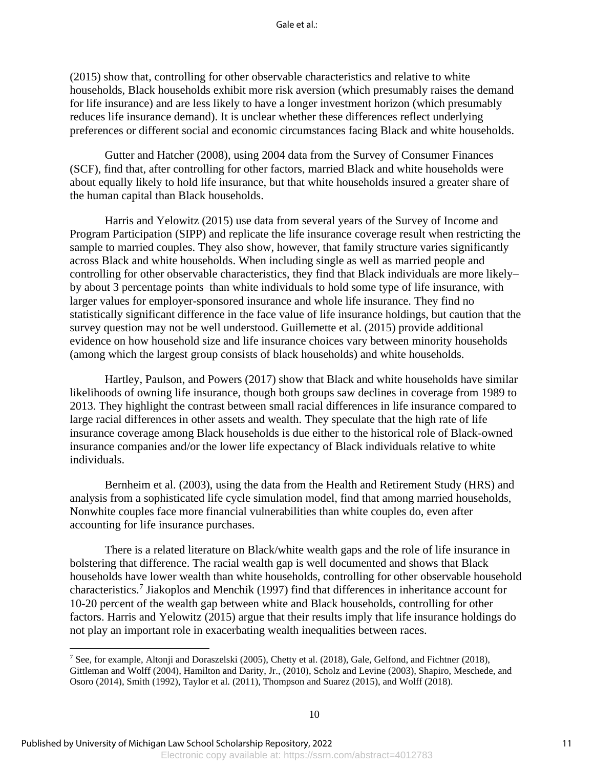(2015) show that, controlling for other observable characteristics and relative to white households, Black households exhibit more risk aversion (which presumably raises the demand for life insurance) and are less likely to have a longer investment horizon (which presumably reduces life insurance demand). It is unclear whether these differences reflect underlying preferences or different social and economic circumstances facing Black and white households.

Gutter and Hatcher (2008), using 2004 data from the Survey of Consumer Finances (SCF), find that, after controlling for other factors, married Black and white households were about equally likely to hold life insurance, but that white households insured a greater share of the human capital than Black households.

Harris and Yelowitz (2015) use data from several years of the Survey of Income and Program Participation (SIPP) and replicate the life insurance coverage result when restricting the sample to married couples. They also show, however, that family structure varies significantly across Black and white households. When including single as well as married people and controlling for other observable characteristics, they find that Black individuals are more likely– by about 3 percentage points–than white individuals to hold some type of life insurance, with larger values for employer-sponsored insurance and whole life insurance. They find no statistically significant difference in the face value of life insurance holdings, but caution that the survey question may not be well understood. Guillemette et al. (2015) provide additional evidence on how household size and life insurance choices vary between minority households (among which the largest group consists of black households) and white households.

Hartley, Paulson, and Powers (2017) show that Black and white households have similar likelihoods of owning life insurance, though both groups saw declines in coverage from 1989 to 2013. They highlight the contrast between small racial differences in life insurance compared to large racial differences in other assets and wealth. They speculate that the high rate of life insurance coverage among Black households is due either to the historical role of Black-owned insurance companies and/or the lower life expectancy of Black individuals relative to white individuals.

Bernheim et al. (2003), using the data from the Health and Retirement Study (HRS) and analysis from a sophisticated life cycle simulation model, find that among married households, Nonwhite couples face more financial vulnerabilities than white couples do, even after accounting for life insurance purchases.

There is a related literature on Black/white wealth gaps and the role of life insurance in bolstering that difference. The racial wealth gap is well documented and shows that Black households have lower wealth than white households, controlling for other observable household characteristics.<sup>7</sup> Jiakoplos and Menchik (1997) find that differences in inheritance account for 10-20 percent of the wealth gap between white and Black households, controlling for other factors. Harris and Yelowitz (2015) argue that their results imply that life insurance holdings do not play an important role in exacerbating wealth inequalities between races.

<sup>&</sup>lt;sup>7</sup> See, for example, Altonji and Doraszelski (2005), Chetty et al. (2018), Gale, Gelfond, and Fichtner (2018), Gittleman and Wolff (2004), Hamilton and Darity, Jr., (2010), Scholz and Levine (2003), Shapiro, Meschede, and Osoro (2014), Smith (1992), Taylor et al. (2011), Thompson and Suarez (2015), and Wolff (2018).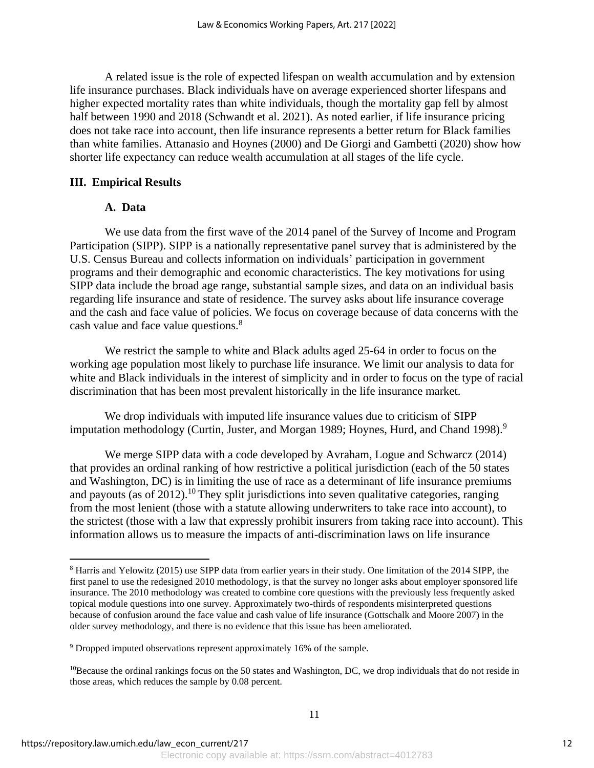A related issue is the role of expected lifespan on wealth accumulation and by extension life insurance purchases. Black individuals have on average experienced shorter lifespans and higher expected mortality rates than white individuals, though the mortality gap fell by almost half between 1990 and 2018 (Schwandt et al. 2021). As noted earlier, if life insurance pricing does not take race into account, then life insurance represents a better return for Black families than white families. Attanasio and Hoynes (2000) and De Giorgi and Gambetti (2020) show how shorter life expectancy can reduce wealth accumulation at all stages of the life cycle.

#### **III. Empirical Results**

#### **A. Data**

We use data from the first wave of the 2014 panel of the Survey of Income and Program Participation (SIPP). SIPP is a nationally representative panel survey that is administered by the U.S. Census Bureau and collects information on individuals' participation in government programs and their demographic and economic characteristics. The key motivations for using SIPP data include the broad age range, substantial sample sizes, and data on an individual basis regarding life insurance and state of residence. The survey asks about life insurance coverage and the cash and face value of policies. We focus on coverage because of data concerns with the cash value and face value questions.<sup>8</sup>

We restrict the sample to white and Black adults aged 25-64 in order to focus on the working age population most likely to purchase life insurance. We limit our analysis to data for white and Black individuals in the interest of simplicity and in order to focus on the type of racial discrimination that has been most prevalent historically in the life insurance market.

We drop individuals with imputed life insurance values due to criticism of SIPP imputation methodology (Curtin, Juster, and Morgan 1989; Hoynes, Hurd, and Chand 1998).<sup>9</sup>

We merge SIPP data with a code developed by Avraham, Logue and Schwarcz (2014) that provides an ordinal ranking of how restrictive a political jurisdiction (each of the 50 states and Washington, DC) is in limiting the use of race as a determinant of life insurance premiums and payouts (as of 2012).<sup>10</sup> They split jurisdictions into seven qualitative categories, ranging from the most lenient (those with a statute allowing underwriters to take race into account), to the strictest (those with a law that expressly prohibit insurers from taking race into account). This information allows us to measure the impacts of anti-discrimination laws on life insurance

<sup>8</sup> Harris and Yelowitz (2015) use SIPP data from earlier years in their study. One limitation of the 2014 SIPP, the first panel to use the redesigned 2010 methodology, is that the survey no longer asks about employer sponsored life insurance. The 2010 methodology was created to combine core questions with the previously less frequently asked topical module questions into one survey. Approximately two-thirds of respondents misinterpreted questions because of confusion around the face value and cash value of life insurance (Gottschalk and Moore 2007) in the older survey methodology, and there is no evidence that this issue has been ameliorated.

<sup>&</sup>lt;sup>9</sup> Dropped imputed observations represent approximately 16% of the sample.

<sup>&</sup>lt;sup>10</sup>Because the ordinal rankings focus on the 50 states and Washington, DC, we drop individuals that do not reside in those areas, which reduces the sample by 0.08 percent.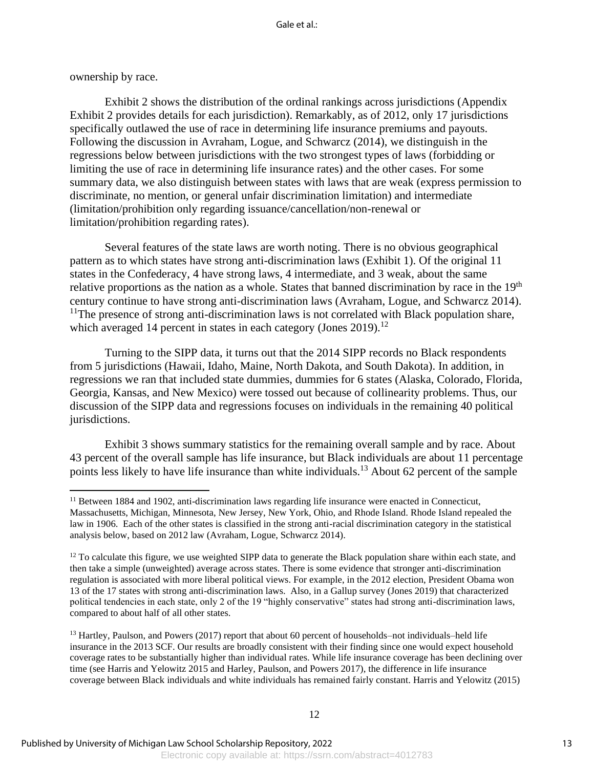ownership by race.

Exhibit 2 shows the distribution of the ordinal rankings across jurisdictions (Appendix Exhibit 2 provides details for each jurisdiction). Remarkably, as of 2012, only 17 jurisdictions specifically outlawed the use of race in determining life insurance premiums and payouts. Following the discussion in Avraham, Logue, and Schwarcz (2014), we distinguish in the regressions below between jurisdictions with the two strongest types of laws (forbidding or limiting the use of race in determining life insurance rates) and the other cases. For some summary data, we also distinguish between states with laws that are weak (express permission to discriminate, no mention, or general unfair discrimination limitation) and intermediate (limitation/prohibition only regarding issuance/cancellation/non-renewal or limitation/prohibition regarding rates).

Several features of the state laws are worth noting. There is no obvious geographical pattern as to which states have strong anti-discrimination laws (Exhibit 1). Of the original 11 states in the Confederacy, 4 have strong laws, 4 intermediate, and 3 weak, about the same relative proportions as the nation as a whole. States that banned discrimination by race in the 19<sup>th</sup> century continue to have strong anti-discrimination laws (Avraham, Logue, and Schwarcz 2014).  $11$ The presence of strong anti-discrimination laws is not correlated with Black population share, which averaged 14 percent in states in each category (Jones  $2019$ ).<sup>12</sup>

Turning to the SIPP data, it turns out that the 2014 SIPP records no Black respondents from 5 jurisdictions (Hawaii, Idaho, Maine, North Dakota, and South Dakota). In addition, in regressions we ran that included state dummies, dummies for 6 states (Alaska, Colorado, Florida, Georgia, Kansas, and New Mexico) were tossed out because of collinearity problems. Thus, our discussion of the SIPP data and regressions focuses on individuals in the remaining 40 political jurisdictions.

Exhibit 3 shows summary statistics for the remaining overall sample and by race. About 43 percent of the overall sample has life insurance, but Black individuals are about 11 percentage points less likely to have life insurance than white individuals.<sup>13</sup> About 62 percent of the sample

<sup>&</sup>lt;sup>11</sup> Between 1884 and 1902, anti-discrimination laws regarding life insurance were enacted in Connecticut, Massachusetts, Michigan, Minnesota, New Jersey, New York, Ohio, and Rhode Island. Rhode Island repealed the law in 1906. Each of the other states is classified in the strong anti-racial discrimination category in the statistical analysis below, based on 2012 law (Avraham, Logue, Schwarcz 2014).

 $12$  To calculate this figure, we use weighted SIPP data to generate the Black population share within each state, and then take a simple (unweighted) average across states. There is some evidence that stronger anti-discrimination regulation is associated with more liberal political views. For example, in the 2012 election, President Obama won 13 of the 17 states with strong anti-discrimination laws. Also, in a Gallup survey (Jones 2019) that characterized political tendencies in each state, only 2 of the 19 "highly conservative" states had strong anti-discrimination laws, compared to about half of all other states.

<sup>&</sup>lt;sup>13</sup> Hartley, Paulson, and Powers (2017) report that about 60 percent of households–not individuals–held life insurance in the 2013 SCF. Our results are broadly consistent with their finding since one would expect household coverage rates to be substantially higher than individual rates. While life insurance coverage has been declining over time (see Harris and Yelowitz 2015 and Harley, Paulson, and Powers 2017), the difference in life insurance coverage between Black individuals and white individuals has remained fairly constant. Harris and Yelowitz (2015)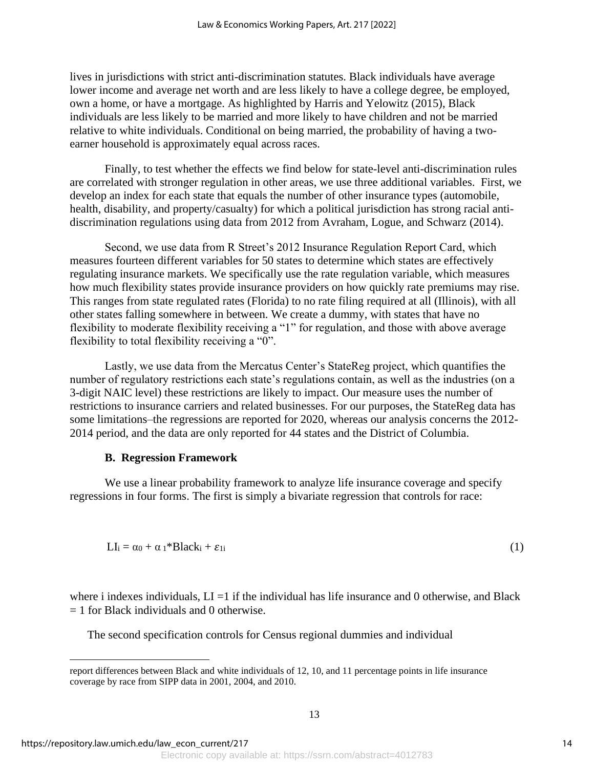lives in jurisdictions with strict anti-discrimination statutes. Black individuals have average lower income and average net worth and are less likely to have a college degree, be employed, own a home, or have a mortgage. As highlighted by Harris and Yelowitz (2015), Black individuals are less likely to be married and more likely to have children and not be married relative to white individuals. Conditional on being married, the probability of having a twoearner household is approximately equal across races.

Finally, to test whether the effects we find below for state-level anti-discrimination rules are correlated with stronger regulation in other areas, we use three additional variables. First, we develop an index for each state that equals the number of other insurance types (automobile, health, disability, and property/casualty) for which a political jurisdiction has strong racial antidiscrimination regulations using data from 2012 from Avraham, Logue, and Schwarz (2014).

Second, we use data from R Street's 2012 Insurance Regulation Report Card, which measures fourteen different variables for 50 states to determine which states are effectively regulating insurance markets. We specifically use the rate regulation variable, which measures how much flexibility states provide insurance providers on how quickly rate premiums may rise. This ranges from state regulated rates (Florida) to no rate filing required at all (Illinois), with all other states falling somewhere in between. We create a dummy, with states that have no flexibility to moderate flexibility receiving a "1" for regulation, and those with above average flexibility to total flexibility receiving a "0".

Lastly, we use data from the Mercatus Center's StateReg project, which quantifies the number of regulatory restrictions each state's regulations contain, as well as the industries (on a 3-digit NAIC level) these restrictions are likely to impact. Our measure uses the number of restrictions to insurance carriers and related businesses. For our purposes, the StateReg data has some limitations–the regressions are reported for 2020, whereas our analysis concerns the 2012- 2014 period, and the data are only reported for 44 states and the District of Columbia.

### **B. Regression Framework**

We use a linear probability framework to analyze life insurance coverage and specify regressions in four forms. The first is simply a bivariate regression that controls for race:

$$
LI_i = \alpha_0 + \alpha_1 * Black_i + \varepsilon_{1i}
$$
 (1)

where i indexes individuals,  $LI =1$  if the individual has life insurance and 0 otherwise, and Black  $= 1$  for Black individuals and 0 otherwise.

The second specification controls for Census regional dummies and individual

report differences between Black and white individuals of 12, 10, and 11 percentage points in life insurance coverage by race from SIPP data in 2001, 2004, and 2010.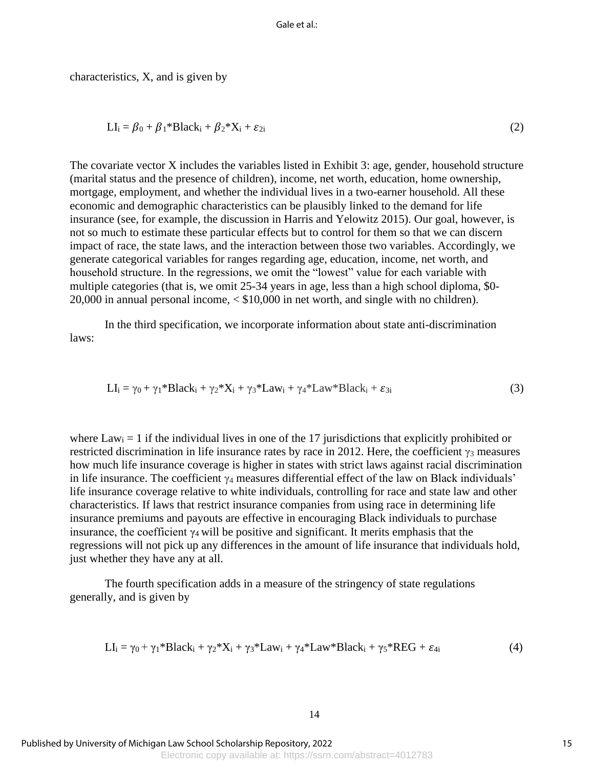characteristics, X, and is given by

$$
LI_i = \beta_0 + \beta_1 * Black_i + \beta_2 * X_i + \varepsilon_{2i}
$$
 (2)

The covariate vector X includes the variables listed in Exhibit 3: age, gender, household structure (marital status and the presence of children), income, net worth, education, home ownership, mortgage, employment, and whether the individual lives in a two-earner household. All these economic and demographic characteristics can be plausibly linked to the demand for life insurance (see, for example, the discussion in Harris and Yelowitz 2015). Our goal, however, is not so much to estimate these particular effects but to control for them so that we can discern impact of race, the state laws, and the interaction between those two variables. Accordingly, we generate categorical variables for ranges regarding age, education, income, net worth, and household structure. In the regressions, we omit the "lowest" value for each variable with multiple categories (that is, we omit 25-34 years in age, less than a high school diploma, \$0- 20,000 in annual personal income, < \$10,000 in net worth, and single with no children).

In the third specification, we incorporate information about state anti-discrimination laws:

$$
LI_i = \gamma_0 + \gamma_1 * Black_i + \gamma_2 * X_i + \gamma_3 * Law_i + \gamma_4 * Law * Black_i + \varepsilon_{3i}
$$
 (3)

where  $Law_i = 1$  if the individual lives in one of the 17 jurisdictions that explicitly prohibited or restricted discrimination in life insurance rates by race in 2012. Here, the coefficient  $\gamma_3$  measures how much life insurance coverage is higher in states with strict laws against racial discrimination in life insurance. The coefficient  $\gamma_4$  measures differential effect of the law on Black individuals' life insurance coverage relative to white individuals, controlling for race and state law and other characteristics. If laws that restrict insurance companies from using race in determining life insurance premiums and payouts are effective in encouraging Black individuals to purchase insurance, the coefficient  $\gamma_4$  will be positive and significant. It merits emphasis that the regressions will not pick up any differences in the amount of life insurance that individuals hold, just whether they have any at all.

The fourth specification adds in a measure of the stringency of state regulations generally, and is given by

$$
LI_i = \gamma_0 + \gamma_1 * Black_i + \gamma_2 * X_i + \gamma_3 * Law_i + \gamma_4 * Law * Black_i + \gamma_5 * REG + \epsilon_{4i}
$$
\n
$$
\tag{4}
$$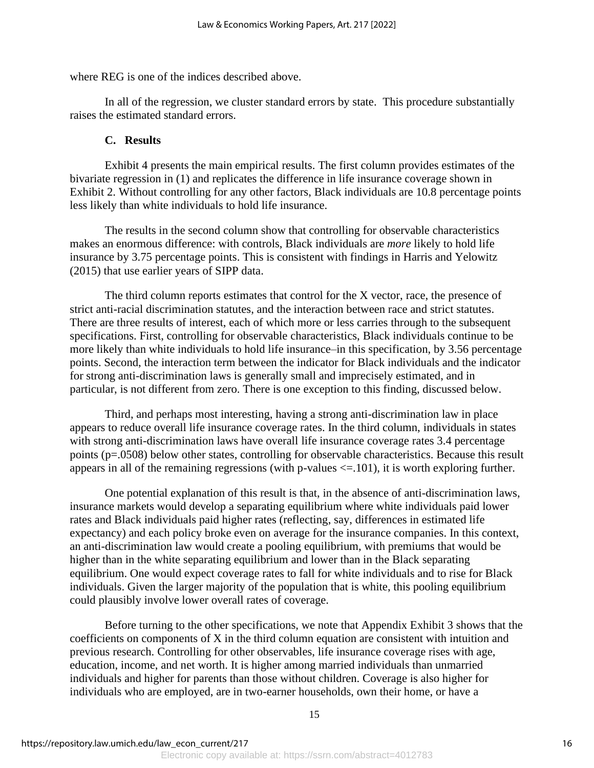where REG is one of the indices described above.

In all of the regression, we cluster standard errors by state. This procedure substantially raises the estimated standard errors.

#### **C. Results**

Exhibit 4 presents the main empirical results. The first column provides estimates of the bivariate regression in (1) and replicates the difference in life insurance coverage shown in Exhibit 2. Without controlling for any other factors, Black individuals are 10.8 percentage points less likely than white individuals to hold life insurance.

The results in the second column show that controlling for observable characteristics makes an enormous difference: with controls, Black individuals are *more* likely to hold life insurance by 3.75 percentage points. This is consistent with findings in Harris and Yelowitz (2015) that use earlier years of SIPP data.

The third column reports estimates that control for the X vector, race, the presence of strict anti-racial discrimination statutes, and the interaction between race and strict statutes. There are three results of interest, each of which more or less carries through to the subsequent specifications. First, controlling for observable characteristics, Black individuals continue to be more likely than white individuals to hold life insurance–in this specification, by 3.56 percentage points. Second, the interaction term between the indicator for Black individuals and the indicator for strong anti-discrimination laws is generally small and imprecisely estimated, and in particular, is not different from zero. There is one exception to this finding, discussed below.

Third, and perhaps most interesting, having a strong anti-discrimination law in place appears to reduce overall life insurance coverage rates. In the third column, individuals in states with strong anti-discrimination laws have overall life insurance coverage rates 3.4 percentage points (p=.0508) below other states, controlling for observable characteristics. Because this result appears in all of the remaining regressions (with p-values <=.101), it is worth exploring further.

One potential explanation of this result is that, in the absence of anti-discrimination laws, insurance markets would develop a separating equilibrium where white individuals paid lower rates and Black individuals paid higher rates (reflecting, say, differences in estimated life expectancy) and each policy broke even on average for the insurance companies. In this context, an anti-discrimination law would create a pooling equilibrium, with premiums that would be higher than in the white separating equilibrium and lower than in the Black separating equilibrium. One would expect coverage rates to fall for white individuals and to rise for Black individuals. Given the larger majority of the population that is white, this pooling equilibrium could plausibly involve lower overall rates of coverage.

Before turning to the other specifications, we note that Appendix Exhibit 3 shows that the coefficients on components of X in the third column equation are consistent with intuition and previous research. Controlling for other observables, life insurance coverage rises with age, education, income, and net worth. It is higher among married individuals than unmarried individuals and higher for parents than those without children. Coverage is also higher for individuals who are employed, are in two-earner households, own their home, or have a

15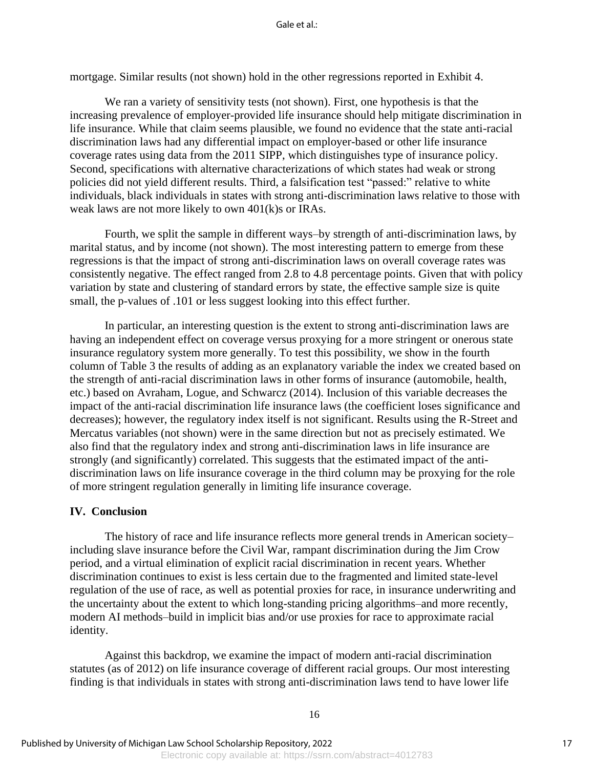mortgage. Similar results (not shown) hold in the other regressions reported in Exhibit 4.

We ran a variety of sensitivity tests (not shown). First, one hypothesis is that the increasing prevalence of employer-provided life insurance should help mitigate discrimination in life insurance. While that claim seems plausible, we found no evidence that the state anti-racial discrimination laws had any differential impact on employer-based or other life insurance coverage rates using data from the 2011 SIPP, which distinguishes type of insurance policy. Second, specifications with alternative characterizations of which states had weak or strong policies did not yield different results. Third, a falsification test "passed:" relative to white individuals, black individuals in states with strong anti-discrimination laws relative to those with weak laws are not more likely to own 401(k)s or IRAs.

Fourth, we split the sample in different ways–by strength of anti-discrimination laws, by marital status, and by income (not shown). The most interesting pattern to emerge from these regressions is that the impact of strong anti-discrimination laws on overall coverage rates was consistently negative. The effect ranged from 2.8 to 4.8 percentage points. Given that with policy variation by state and clustering of standard errors by state, the effective sample size is quite small, the p-values of .101 or less suggest looking into this effect further.

In particular, an interesting question is the extent to strong anti-discrimination laws are having an independent effect on coverage versus proxying for a more stringent or onerous state insurance regulatory system more generally. To test this possibility, we show in the fourth column of Table 3 the results of adding as an explanatory variable the index we created based on the strength of anti-racial discrimination laws in other forms of insurance (automobile, health, etc.) based on Avraham, Logue, and Schwarcz (2014). Inclusion of this variable decreases the impact of the anti-racial discrimination life insurance laws (the coefficient loses significance and decreases); however, the regulatory index itself is not significant. Results using the R-Street and Mercatus variables (not shown) were in the same direction but not as precisely estimated. We also find that the regulatory index and strong anti-discrimination laws in life insurance are strongly (and significantly) correlated. This suggests that the estimated impact of the antidiscrimination laws on life insurance coverage in the third column may be proxying for the role of more stringent regulation generally in limiting life insurance coverage.

#### **IV. Conclusion**

The history of race and life insurance reflects more general trends in American society– including slave insurance before the Civil War, rampant discrimination during the Jim Crow period, and a virtual elimination of explicit racial discrimination in recent years. Whether discrimination continues to exist is less certain due to the fragmented and limited state-level regulation of the use of race, as well as potential proxies for race, in insurance underwriting and the uncertainty about the extent to which long-standing pricing algorithms–and more recently, modern AI methods–build in implicit bias and/or use proxies for race to approximate racial identity.

Against this backdrop, we examine the impact of modern anti-racial discrimination statutes (as of 2012) on life insurance coverage of different racial groups. Our most interesting finding is that individuals in states with strong anti-discrimination laws tend to have lower life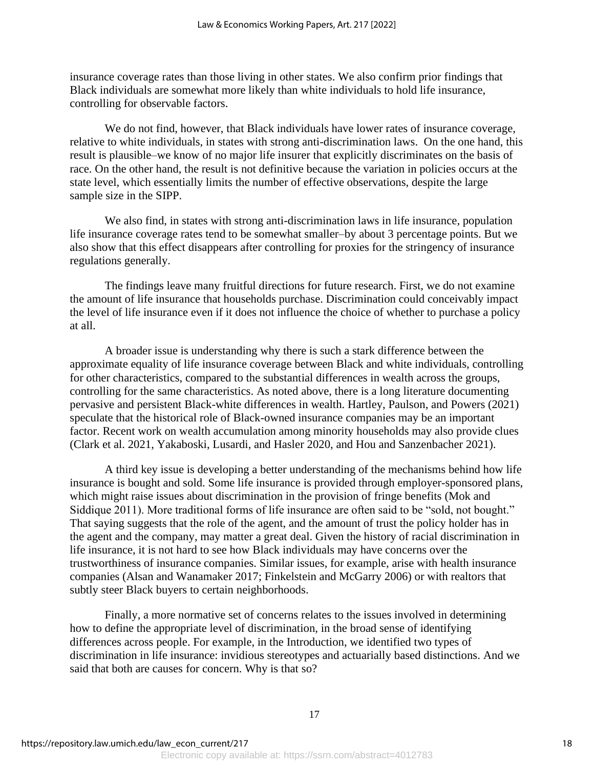insurance coverage rates than those living in other states. We also confirm prior findings that Black individuals are somewhat more likely than white individuals to hold life insurance, controlling for observable factors.

We do not find, however, that Black individuals have lower rates of insurance coverage, relative to white individuals, in states with strong anti-discrimination laws. On the one hand, this result is plausible–we know of no major life insurer that explicitly discriminates on the basis of race. On the other hand, the result is not definitive because the variation in policies occurs at the state level, which essentially limits the number of effective observations, despite the large sample size in the SIPP.

We also find, in states with strong anti-discrimination laws in life insurance, population life insurance coverage rates tend to be somewhat smaller–by about 3 percentage points. But we also show that this effect disappears after controlling for proxies for the stringency of insurance regulations generally.

The findings leave many fruitful directions for future research. First, we do not examine the amount of life insurance that households purchase. Discrimination could conceivably impact the level of life insurance even if it does not influence the choice of whether to purchase a policy at all.

A broader issue is understanding why there is such a stark difference between the approximate equality of life insurance coverage between Black and white individuals, controlling for other characteristics, compared to the substantial differences in wealth across the groups, controlling for the same characteristics. As noted above, there is a long literature documenting pervasive and persistent Black-white differences in wealth. Hartley, Paulson, and Powers (2021) speculate that the historical role of Black-owned insurance companies may be an important factor. Recent work on wealth accumulation among minority households may also provide clues (Clark et al. 2021, Yakaboski, Lusardi, and Hasler 2020, and Hou and Sanzenbacher 2021).

A third key issue is developing a better understanding of the mechanisms behind how life insurance is bought and sold. Some life insurance is provided through employer-sponsored plans, which might raise issues about discrimination in the provision of fringe benefits (Mok and Siddique 2011). More traditional forms of life insurance are often said to be "sold, not bought." That saying suggests that the role of the agent, and the amount of trust the policy holder has in the agent and the company, may matter a great deal. Given the history of racial discrimination in life insurance, it is not hard to see how Black individuals may have concerns over the trustworthiness of insurance companies. Similar issues, for example, arise with health insurance companies (Alsan and Wanamaker 2017; Finkelstein and McGarry 2006) or with realtors that subtly steer Black buyers to certain neighborhoods.

Finally, a more normative set of concerns relates to the issues involved in determining how to define the appropriate level of discrimination, in the broad sense of identifying differences across people. For example, in the Introduction, we identified two types of discrimination in life insurance: invidious stereotypes and actuarially based distinctions. And we said that both are causes for concern. Why is that so?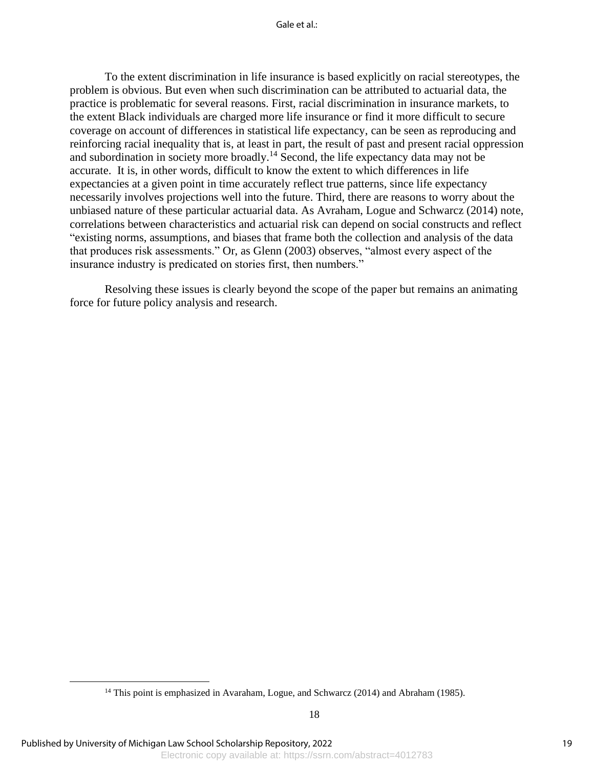Gale et al $\cdot$ 

To the extent discrimination in life insurance is based explicitly on racial stereotypes, the problem is obvious. But even when such discrimination can be attributed to actuarial data, the practice is problematic for several reasons. First, racial discrimination in insurance markets, to the extent Black individuals are charged more life insurance or find it more difficult to secure coverage on account of differences in statistical life expectancy, can be seen as reproducing and reinforcing racial inequality that is, at least in part, the result of past and present racial oppression and subordination in society more broadly.<sup>14</sup> Second, the life expectancy data may not be accurate. It is, in other words, difficult to know the extent to which differences in life expectancies at a given point in time accurately reflect true patterns, since life expectancy necessarily involves projections well into the future. Third, there are reasons to worry about the unbiased nature of these particular actuarial data. As Avraham, Logue and Schwarcz (2014) note, correlations between characteristics and actuarial risk can depend on social constructs and reflect "existing norms, assumptions, and biases that frame both the collection and analysis of the data that produces risk assessments." Or, as Glenn (2003) observes, "almost every aspect of the insurance industry is predicated on stories first, then numbers."

Resolving these issues is clearly beyond the scope of the paper but remains an animating force for future policy analysis and research.

<sup>&</sup>lt;sup>14</sup> This point is emphasized in Avaraham, Logue, and Schwarcz (2014) and Abraham (1985).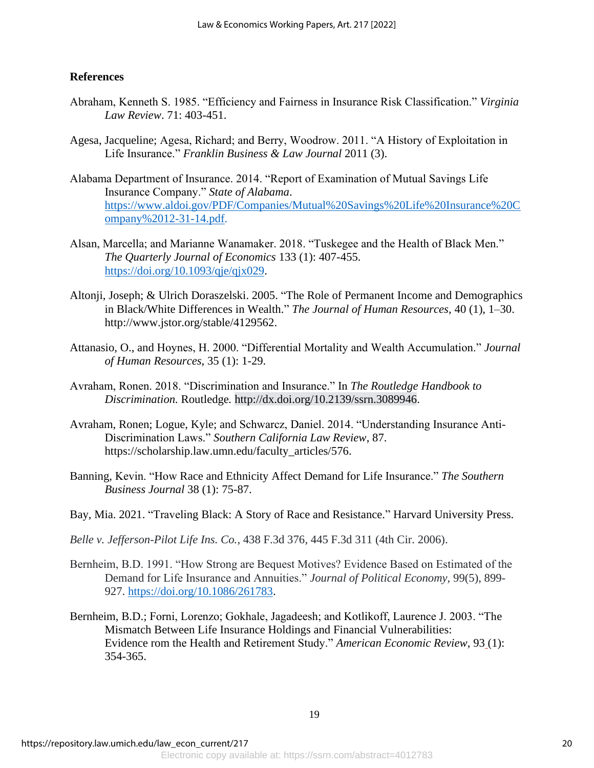### **References**

- Abraham, Kenneth S. 1985. "Efficiency and Fairness in Insurance Risk Classification." *Virginia Law Review*. 71: 403-451.
- Agesa, Jacqueline; Agesa, Richard; and Berry, Woodrow. 2011. "A History of Exploitation in Life Insurance." *Franklin Business & Law Journal* 2011 (3).
- Alabama Department of Insurance. 2014. "Report of Examination of Mutual Savings Life Insurance Company." *State of Alabama*. [https://www.aldoi.gov/PDF/Companies/Mutual%20Savings%20Life%20Insurance%20C](https://www.aldoi.gov/PDF/Companies/Mutual%20Savings%20Life%20Insurance%20Company%2012-31-14.pdf) [ompany%2012-31-14.pdf.](https://www.aldoi.gov/PDF/Companies/Mutual%20Savings%20Life%20Insurance%20Company%2012-31-14.pdf)
- Alsan, Marcella; and Marianne Wanamaker. 2018. "Tuskegee and the Health of Black Men." *The Quarterly Journal of Economics* 133 (1): 407-455. [https://doi.org/10.1093/qje/qjx029.](https://doi.org/10.1093/qje/qjx029)
- Altonji, Joseph; & Ulrich Doraszelski. 2005. "The Role of Permanent Income and Demographics in Black/White Differences in Wealth." *The Journal of Human Resources*, 40 (1), 1–30. http://www.jstor.org/stable/4129562.
- Attanasio, O., and Hoynes, H. 2000. "Differential Mortality and Wealth Accumulation." *Journal of Human Resources*, 35 (1): 1-29.
- Avraham, Ronen. 2018. "Discrimination and Insurance." In *The Routledge Handbook to Discrimination.* Routledge*.* [http://dx.doi.org/10.2139/ssrn.3089946.](https://dx.doi.org/10.2139/ssrn.3089946%22%20/t%20%22_blank)
- Avraham, Ronen; Logue, Kyle; and Schwarcz, Daniel. 2014. "Understanding Insurance Anti-Discrimination Laws." *Southern California Law Review*, 87. https://scholarship.law.umn.edu/faculty\_articles/576.
- Banning, Kevin. "How Race and Ethnicity Affect Demand for Life Insurance." *The Southern Business Journal* 38 (1): 75-87.
- Bay, Mia. 2021. "Traveling Black: A Story of Race and Resistance." Harvard University Press.
- *Belle v. Jefferson-Pilot Life Ins. Co.*, 438 F.3d 376, 445 F.3d 311 (4th Cir. 2006).
- Bernheim, B.D. 1991. "How Strong are Bequest Motives? Evidence Based on Estimated of the Demand for Life Insurance and Annuities." *Journal of Political Economy,* 99(5), 899- 927. [https://doi.org/10.1086/261783.](https://doi.org/10.1086/261783)
- Bernheim, B.D.; Forni, Lorenzo; Gokhale, Jagadeesh; and Kotlikoff, Laurence J. 2003. "The Mismatch Between Life Insurance Holdings and Financial Vulnerabilities: Evidence rom the Health and Retirement Study." *American Economic Review*, 93 (1): 354-365.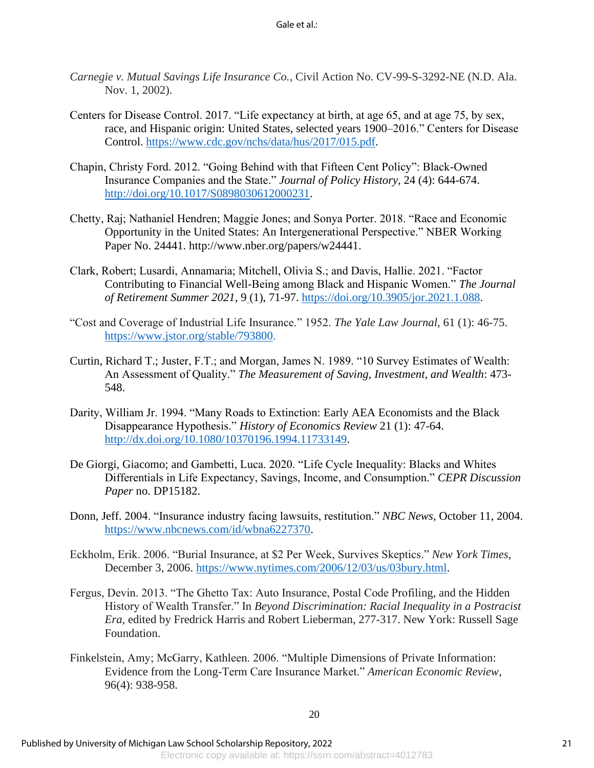- *Carnegie v. Mutual Savings Life Insurance Co.*, Civil Action No. CV-99-S-3292-NE (N.D. Ala. Nov. 1, 2002).
- Centers for Disease Control. 2017. "Life expectancy at birth, at age 65, and at age 75, by sex, race, and Hispanic origin: United States, selected years 1900–2016." Centers for Disease Control. [https://www.cdc.gov/nchs/data/hus/2017/015.pdf.](https://www.cdc.gov/nchs/data/hus/2017/015.pdf)
- Chapin, Christy Ford. 2012. "Going Behind with that Fifteen Cent Policy": Black-Owned Insurance Companies and the State." *Journal of Policy History,* 24 (4): 644-674. [http://doi.org/10.1017/S0898030612000231.](http://doi.org/10.1017/S0898030612000231)
- Chetty, Raj; Nathaniel Hendren; Maggie Jones; and Sonya Porter. 2018. "Race and Economic Opportunity in the United States: An Intergenerational Perspective." NBER Working Paper No. 24441. http://www.nber.org/papers/w24441.
- Clark, Robert; Lusardi, Annamaria; Mitchell, Olivia S.; and Davis, Hallie. 2021. "Factor Contributing to Financial Well-Being among Black and Hispanic Women." *The Journal of Retirement Summer 2021*, 9 (1), 71-97. [https://doi.org/10.3905/jor.2021.1.088.](https://doi.org/10.3905/jor.2021.1.088)
- "Cost and Coverage of Industrial Life Insurance." 1952. *The Yale Law Journal,* 61 (1): 46-75. [https://www.jstor.org/stable/793800.](https://www.jstor.org/stable/793800)
- Curtin, Richard T.; Juster, F.T.; and Morgan, James N. 1989. "10 Survey Estimates of Wealth: An Assessment of Quality." *The Measurement of Saving, Investment, and Wealth*: 473- 548.
- Darity, William Jr. 1994. "Many Roads to Extinction: Early AEA Economists and the Black Disappearance Hypothesis." *History of Economics Review* 21 (1): 47-64. [http://dx.doi.org/10.1080/10370196.1994.11733149.](http://dx.doi.org/10.1080/10370196.1994.11733149)
- De Giorgi, Giacomo; and Gambetti, Luca. 2020. "Life Cycle Inequality: Blacks and Whites Differentials in Life Expectancy, Savings, Income, and Consumption." *CEPR Discussion Paper* no. DP15182.
- Donn, Jeff. 2004. "Insurance industry facing lawsuits, restitution." *NBC News*, October 11, 2004. [https://www.nbcnews.com/id/wbna6227370.](https://www.nbcnews.com/id/wbna6227370)
- Eckholm, Erik. 2006. "Burial Insurance, at \$2 Per Week, Survives Skeptics." *New York Times*, December 3, 2006. [https://www.nytimes.com/2006/12/03/us/03bury.html.](https://www.nytimes.com/2006/12/03/us/03bury.html)
- Fergus, Devin. 2013. "The Ghetto Tax: Auto Insurance, Postal Code Profiling, and the Hidden History of Wealth Transfer." In *Beyond Discrimination: Racial Inequality in a Postracist Era,* edited by Fredrick Harris and Robert Lieberman, 277-317. New York: Russell Sage Foundation.
- Finkelstein, Amy; McGarry, Kathleen. 2006. "Multiple Dimensions of Private Information: Evidence from the Long-Term Care Insurance Market." *American Economic Review*, 96(4): 938-958.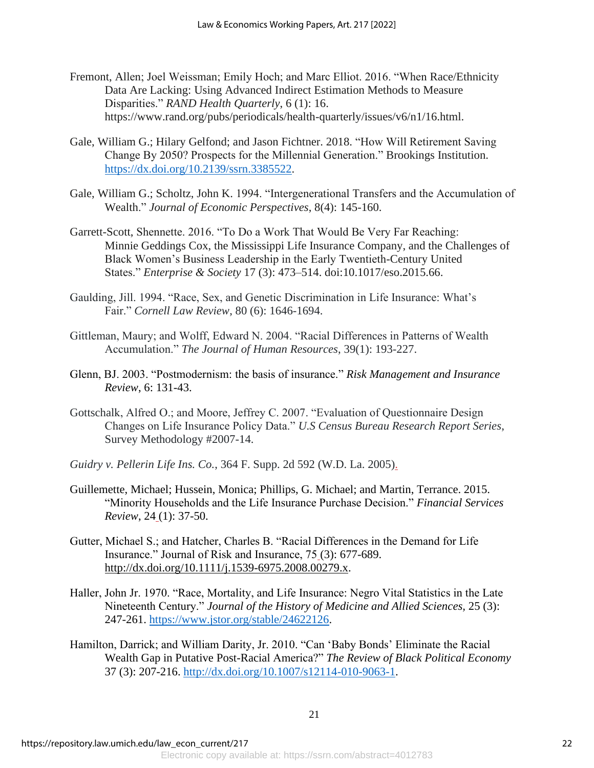- Fremont, Allen; Joel Weissman; Emily Hoch; and Marc Elliot. 2016. "When Race/Ethnicity Data Are Lacking: Using Advanced Indirect Estimation Methods to Measure Disparities." *RAND Health Quarterly*, 6 (1): 16. https://www.rand.org/pubs/periodicals/health-quarterly/issues/v6/n1/16.html.
- Gale, William G.; Hilary Gelfond; and Jason Fichtner. 2018. "How Will Retirement Saving Change By 2050? Prospects for the Millennial Generation." Brookings Institution. [https://dx.doi.org/10.2139/ssrn.3385522.](https://dx.doi.org/10.2139/ssrn.3385522)
- Gale, William G.; Scholtz, John K. 1994. "Intergenerational Transfers and the Accumulation of Wealth." *Journal of Economic Perspectives*, 8(4): 145-160.
- Garrett-Scott, Shennette. 2016. "To Do a Work That Would Be Very Far Reaching: Minnie Geddings Cox, the Mississippi Life Insurance Company, and the Challenges of Black Women's Business Leadership in the Early Twentieth-Century United States." *Enterprise & Society* 17 (3): 473–514. doi:10.1017/eso.2015.66.
- Gaulding, Jill. 1994. "Race, Sex, and Genetic Discrimination in Life Insurance: What's Fair." *Cornell Law Review*, 80 (6): 1646-1694.
- Gittleman, Maury; and Wolff, Edward N. 2004. "Racial Differences in Patterns of Wealth Accumulation." *The Journal of Human Resources*, 39(1): 193-227.
- Glenn, BJ. 2003. "Postmodernism: the basis of insurance." *Risk Management and Insurance Review*, 6: 131-43.
- Gottschalk, Alfred O.; and Moore, Jeffrey C. 2007. "Evaluation of Questionnaire Design Changes on Life Insurance Policy Data." *U.S Census Bureau Research Report Series*, Survey Methodology #2007-14.
- *Guidry v. Pellerin Life Ins. Co.*, 364 F. Supp. 2d 592 (W.D. La. 2005).
- Guillemette, Michael; Hussein, Monica; Phillips, G. Michael; and Martin, Terrance. 2015. "Minority Households and the Life Insurance Purchase Decision." *Financial Services Review*, 24 (1): 37-50.
- Gutter, Michael S.; and Hatcher, Charles B. "Racial Differences in the Demand for Life Insurance." Journal of Risk and Insurance, 75 (3): 677-689. [http://dx.doi.org/10.1111/j.1539-6975.2008.00279.x.](https://dx.doi.org/10.1111/j.1539-6975.2008.00279.x)
- Haller, John Jr. 1970. "Race, Mortality, and Life Insurance: Negro Vital Statistics in the Late Nineteenth Century." *Journal of the History of Medicine and Allied Sciences,* 25 (3): 247-261. [https://www.jstor.org/stable/24622126.](https://www.jstor.org/stable/24622126)
- Hamilton, Darrick; and William Darity, Jr. 2010. "Can 'Baby Bonds' Eliminate the Racial Wealth Gap in Putative Post-Racial America?" *The Review of Black Political Economy* 37 (3): 207-216. [http://dx.doi.org/10.1007/s12114-010-9063-1.](http://dx.doi.org/10.1007/s12114-010-9063-1)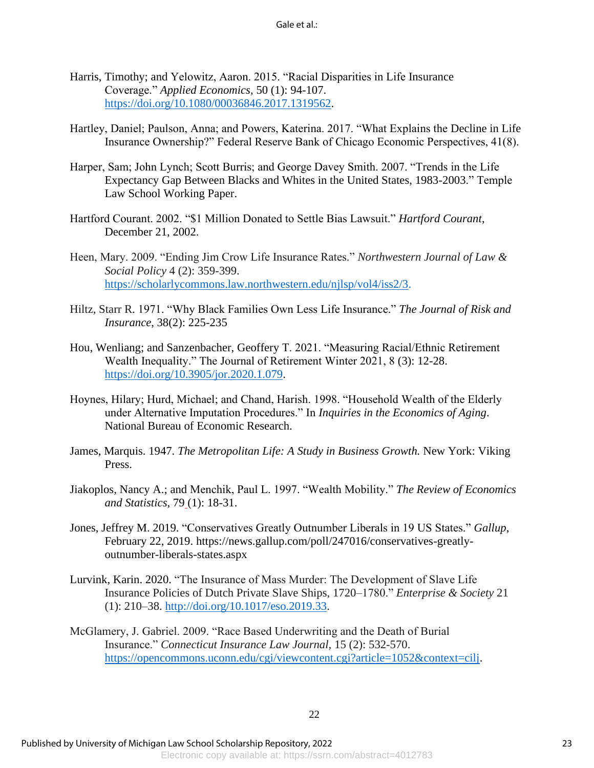- Harris, Timothy; and Yelowitz, Aaron. 2015. "Racial Disparities in Life Insurance Coverage." *Applied Economics*, 50 (1): 94-107. [https://doi.org/10.1080/00036846.2017.1319562.](https://doi.org/10.1080/00036846.2017.1319562)
- Hartley, Daniel; Paulson, Anna; and Powers, Katerina. 2017. "What Explains the Decline in Life Insurance Ownership?" Federal Reserve Bank of Chicago Economic Perspectives, 41(8).
- Harper, Sam; John Lynch; Scott Burris; and George Davey Smith. 2007. "Trends in the Life Expectancy Gap Between Blacks and Whites in the United States, 1983-2003." Temple Law School Working Paper.
- Hartford Courant. 2002. "\$1 Million Donated to Settle Bias Lawsuit." *Hartford Courant*, December 21, 2002.
- Heen, Mary. 2009. "Ending Jim Crow Life Insurance Rates." *Northwestern Journal of Law & Social Policy* 4 (2): 359-399. [https://scholarlycommons.law.northwestern.edu/njlsp/vol4/iss2/3.](https://scholarlycommons.law.northwestern.edu/njlsp/vol4/iss2/3)
- Hiltz, Starr R. 1971. "Why Black Families Own Less Life Insurance." *The Journal of Risk and Insurance*, 38(2): 225-235
- Hou, Wenliang; and Sanzenbacher, Geoffery T. 2021. "Measuring Racial/Ethnic Retirement Wealth Inequality." The Journal of Retirement Winter 2021, 8 (3): 12-28. [https://doi.org/10.3905/jor.2020.1.079.](https://doi.org/10.3905/jor.2020.1.079)
- Hoynes, Hilary; Hurd, Michael; and Chand, Harish. 1998. "Household Wealth of the Elderly under Alternative Imputation Procedures." In *Inquiries in the Economics of Aging*. National Bureau of Economic Research.
- James, Marquis. 1947. *The Metropolitan Life: A Study in Business Growth.* New York: Viking Press.
- Jiakoplos, Nancy A.; and Menchik, Paul L. 1997. "Wealth Mobility." *The Review of Economics and Statistics*, 79 (1): 18-31.
- Jones, Jeffrey M. 2019. "Conservatives Greatly Outnumber Liberals in 19 US States." *Gallup*, February 22, 2019. https://news.gallup.com/poll/247016/conservatives-greatlyoutnumber-liberals-states.aspx
- Lurvink, Karin. 2020. "The Insurance of Mass Murder: The Development of Slave Life Insurance Policies of Dutch Private Slave Ships, 1720–1780." *Enterprise & Society* 21 (1): 210–38. [http://doi.org/10.1017/eso.2019.33.](http://doi.org/10.1017/eso.2019.33)
- McGlamery, J. Gabriel. 2009. "Race Based Underwriting and the Death of Burial Insurance." *Connecticut Insurance Law Journal,* 15 (2): 532-570. [https://opencommons.uconn.edu/cgi/viewcontent.cgi?article=1052&context=cilj.](https://opencommons.uconn.edu/cgi/viewcontent.cgi?article=1052&context=cilj)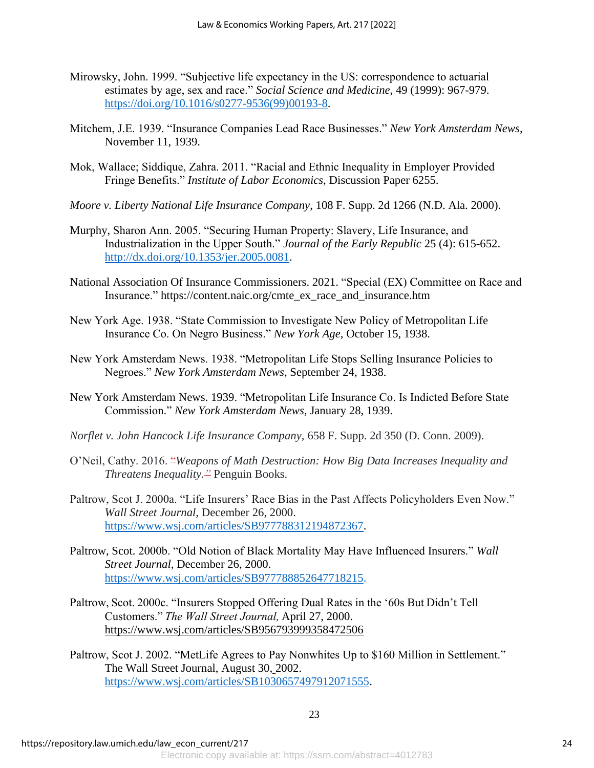- Mirowsky, John. 1999. "Subjective life expectancy in the US: correspondence to actuarial estimates by age, sex and race." *Social Science and Medicine*, 49 (1999): 967-979. [https://doi.org/10.1016/s0277-9536\(99\)00193-8.](https://doi.org/10.1016/s0277-9536(99)00193-8)
- Mitchem, J.E. 1939. "Insurance Companies Lead Race Businesses." *New York Amsterdam News*, November 11, 1939.
- Mok, Wallace; Siddique, Zahra. 2011. "Racial and Ethnic Inequality in Employer Provided Fringe Benefits." *Institute of Labor Economics,* Discussion Paper 6255.
- *Moore v. Liberty National Life Insurance Company*, 108 F. Supp. 2d 1266 (N.D. Ala. 2000).
- Murphy, Sharon Ann. 2005. "Securing Human Property: Slavery, Life Insurance, and Industrialization in the Upper South." *Journal of the Early Republic* 25 (4): 615-652. [http://dx.doi.org/10.1353/jer.2005.0081.](http://dx.doi.org/10.1353/jer.2005.0081)
- National Association Of Insurance Commissioners. 2021. "Special (EX) Committee on Race and Insurance." https://content.naic.org/cmte\_ex\_race\_and\_insurance.htm
- New York Age. 1938. "State Commission to Investigate New Policy of Metropolitan Life Insurance Co. On Negro Business." *New York Age*, October 15, 1938.
- New York Amsterdam News. 1938. "Metropolitan Life Stops Selling Insurance Policies to Negroes." *New York Amsterdam News*, September 24, 1938.
- New York Amsterdam News. 1939. "Metropolitan Life Insurance Co. Is Indicted Before State Commission." *New York Amsterdam News*, January 28, 1939.
- *Norflet v. John Hancock Life Insurance Company*, 658 F. Supp. 2d 350 (D. Conn. 2009).
- O'Neil, Cathy. 2016. "*Weapons of Math Destruction: How Big Data Increases Inequality and Threatens Inequality."* Penguin Books.
- Paltrow, Scot J. 2000a. "Life Insurers' Race Bias in the Past Affects Policyholders Even Now." *Wall Street Journal,* December 26, 2000. [https://www.wsj.com/articles/SB977788312194872367.](https://www.wsj.com/articles/SB977788312194872367)
- Paltrow, Scot. 2000b. "Old Notion of Black Mortality May Have Influenced Insurers." *Wall Street Journal*, December 26, 2000. [https://www.wsj.com/articles/SB977788852647718215.](https://www.wsj.com/articles/SB977788852647718215)
- Paltrow, Scot. 2000c. "Insurers Stopped Offering Dual Rates in the '60s But Didn't Tell Customers." *The Wall Street Journal,*April 27, 2000. <https://www.wsj.com/articles/SB956793999358472506>
- Paltrow, Scot J. 2002. "MetLife Agrees to Pay Nonwhites Up to \$160 Million in Settlement." The Wall Street Journal, August 30, 2002. [https://www.wsj.com/articles/SB1030657497912071555.](https://www.wsj.com/articles/SB1030657497912071555)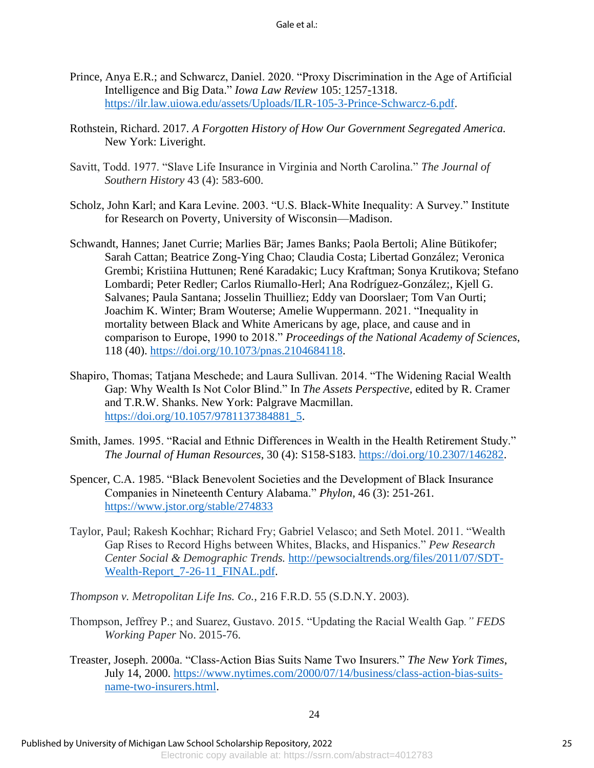- Prince, Anya E.R.; and Schwarcz, Daniel. 2020. "Proxy Discrimination in the Age of Artificial Intelligence and Big Data." *Iowa Law Review* 105: 1257-1318. [https://ilr.law.uiowa.edu/assets/Uploads/ILR-105-3-Prince-Schwarcz-6.pdf.](https://ilr.law.uiowa.edu/assets/Uploads/ILR-105-3-Prince-Schwarcz-6.pdf)
- Rothstein, Richard. 2017. *A Forgotten History of How Our Government Segregated America.* New York: Liveright.
- Savitt, Todd. 1977. "Slave Life Insurance in Virginia and North Carolina." *The Journal of Southern History* 43 (4): 583-600.
- Scholz, John Karl; and Kara Levine. 2003. "U.S. Black-White Inequality: A Survey." Institute for Research on Poverty, University of Wisconsin—Madison.
- Schwandt, Hannes; Janet Currie; Marlies Bär; James Banks; Paola Bertoli; Aline Bütikofer; Sarah Cattan; Beatrice Zong-Ying Chao; Claudia Costa; Libertad González; Veronica Grembi; Kristiina Huttunen; René Karadakic; Lucy Kraftman; Sonya Krutikova; Stefano Lombardi; Peter Redler; Carlos Riumallo-Herl; Ana Rodríguez-González;, Kjell G. Salvanes; Paula Santana; Josselin Thuilliez; Eddy van Doorslaer; Tom Van Ourti; Joachim K. Winter; Bram Wouterse; Amelie Wuppermann. 2021. "Inequality in mortality between Black and White Americans by age, place, and cause and in comparison to Europe, 1990 to 2018." *Proceedings of the National Academy of Sciences*, 118 (40). [https://doi.org/10.1073/pnas.2104684118.](https://doi.org/10.1073/pnas.2104684118)
- Shapiro, Thomas; Tatjana Meschede; and Laura Sullivan. 2014. "The Widening Racial Wealth Gap: Why Wealth Is Not Color Blind." In *The Assets Perspective*, edited by R. Cramer and T.R.W. Shanks. New York: Palgrave Macmillan. [https://doi.org/10.1057/9781137384881\\_5.](https://doi.org/10.1057/9781137384881_5)
- Smith, James. 1995. "Racial and Ethnic Differences in Wealth in the Health Retirement Study." *The Journal of Human Resources*, 30 (4): S158-S183. [https://doi.org/10.2307/146282.](https://doi.org/10.2307/146282)
- Spencer, C.A. 1985. "Black Benevolent Societies and the Development of Black Insurance Companies in Nineteenth Century Alabama." *Phylon,* 46 (3): 251-261. <https://www.jstor.org/stable/274833>
- Taylor, Paul; Rakesh Kochhar; Richard Fry; Gabriel Velasco; and Seth Motel. 2011. "Wealth Gap Rises to Record Highs between Whites, Blacks, and Hispanics." *Pew Research Center Social & Demographic Trends.* [http://pewsocialtrends.org/files/2011/07/SDT-](http://pewsocialtrends.org/files/2011/07/SDT-Wealth-Report_7-26-11_FINAL.pdf)Wealth-Report 7-26-11 FINAL.pdf.
- *Thompson v. Metropolitan Life Ins. Co.*, 216 F.R.D. 55 (S.D.N.Y. 2003).
- Thompson, Jeffrey P.; and Suarez, Gustavo. 2015. "Updating the Racial Wealth Gap*." FEDS Working Paper* No. 2015-76.
- Treaster, Joseph. 2000a. "Class-Action Bias Suits Name Two Insurers." *The New York Times*, July 14, 2000. [https://www.nytimes.com/2000/07/14/business/class-action-bias-suits](https://www.nytimes.com/2000/07/14/business/class-action-bias-suits-name-two-insurers.html)[name-two-insurers.html.](https://www.nytimes.com/2000/07/14/business/class-action-bias-suits-name-two-insurers.html)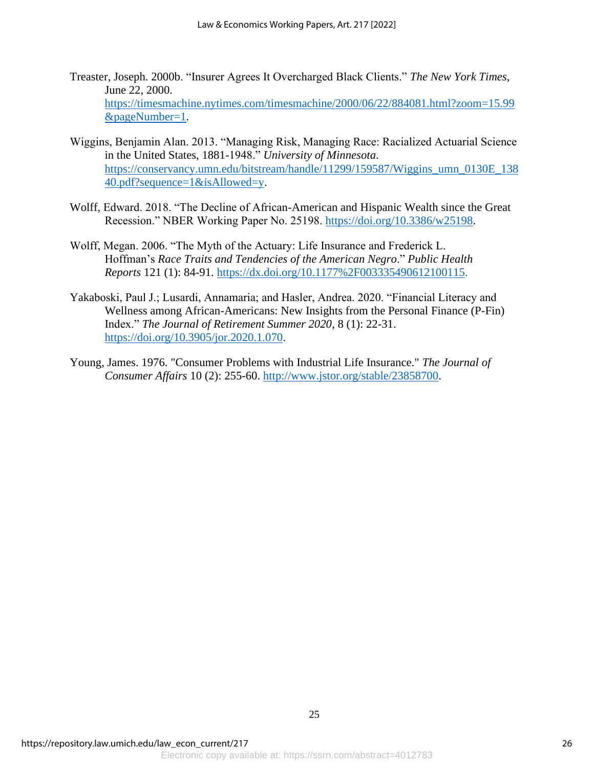- Treaster, Joseph. 2000b. "Insurer Agrees It Overcharged Black Clients." *The New York Times*, June 22, 2000. [https://timesmachine.nytimes.com/timesmachine/2000/06/22/884081.html?zoom=15.99](https://timesmachine.nytimes.com/timesmachine/2000/06/22/884081.html?zoom=15.99&pageNumber=1) [&pageNumber=1.](https://timesmachine.nytimes.com/timesmachine/2000/06/22/884081.html?zoom=15.99&pageNumber=1)
- Wiggins, Benjamin Alan. 2013. "Managing Risk, Managing Race: Racialized Actuarial Science in the United States, 1881-1948." *University of Minnesota*. [https://conservancy.umn.edu/bitstream/handle/11299/159587/Wiggins\\_umn\\_0130E\\_138](https://conservancy.umn.edu/bitstream/handle/11299/159587/Wiggins_umn_0130E_13840.pdf?sequence=1&isAllowed=y) [40.pdf?sequence=1&isAllowed=y.](https://conservancy.umn.edu/bitstream/handle/11299/159587/Wiggins_umn_0130E_13840.pdf?sequence=1&isAllowed=y)
- Wolff, Edward. 2018. "The Decline of African-American and Hispanic Wealth since the Great Recession." NBER Working Paper No. 25198. [https://doi.org/10.3386/w25198.](https://doi.org/10.3386/w25198)
- Wolff, Megan. 2006. "The Myth of the Actuary: Life Insurance and Frederick L. Hoffman's *Race Traits and Tendencies of the American Negro*." *Public Health Reports* 121 (1): 84-91. [https://dx.doi.org/10.1177%2F003335490612100115.](https://dx.doi.org/10.1177%2F003335490612100115)
- Yakaboski, Paul J.; Lusardi, Annamaria; and Hasler, Andrea. 2020. "Financial Literacy and Wellness among African-Americans: New Insights from the Personal Finance (P-Fin) Index." *The Journal of Retirement Summer 2020*, 8 (1): 22-31. [https://doi.org/10.3905/jor.2020.1.070.](https://doi.org/10.3905/jor.2020.1.070)
- Young, James. 1976. "Consumer Problems with Industrial Life Insurance." *The Journal of Consumer Affairs* 10 (2): 255-60. [http://www.jstor.org/stable/23858700.](http://www.jstor.org/stable/23858700)

25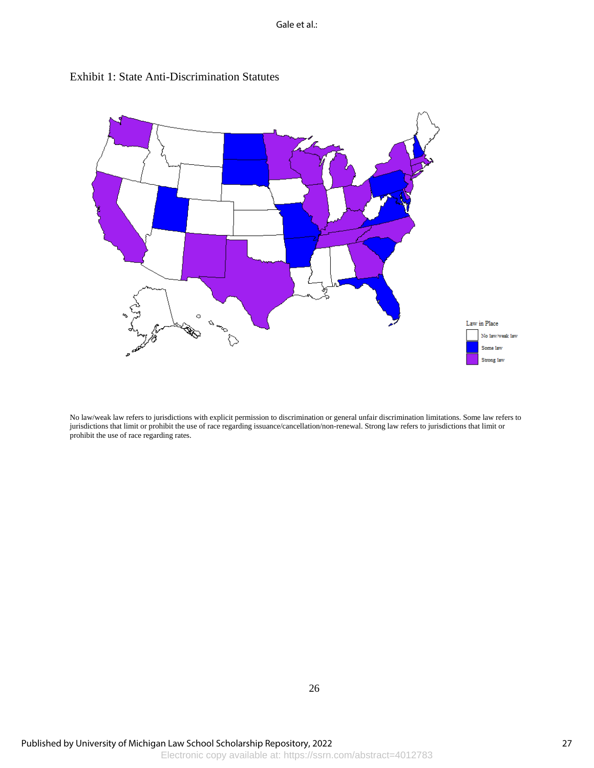Gale et al.:





No law/weak law refers to jurisdictions with explicit permission to discrimination or general unfair discrimination limitations. Some law refers to jurisdictions that limit or prohibit the use of race regarding issuance/cancellation/non-renewal. Strong law refers to jurisdictions that limit or prohibit the use of race regarding rates.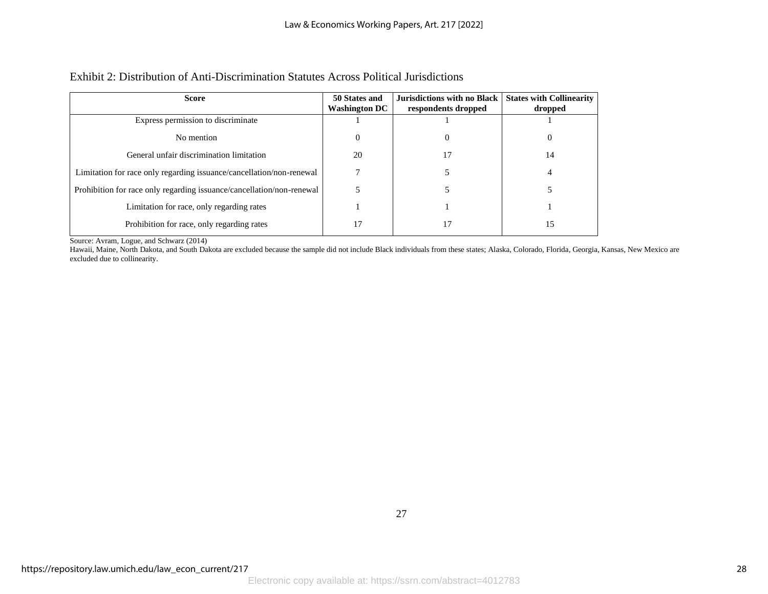### Exhibit 2: Distribution of Anti-Discrimination Statutes Across Political Jurisdictions

| <b>Score</b>                                                          | 50 States and<br><b>Washington DC</b> | Jurisdictions with no Black<br>respondents dropped | <b>States with Collinearity</b><br>dropped |
|-----------------------------------------------------------------------|---------------------------------------|----------------------------------------------------|--------------------------------------------|
| Express permission to discriminate                                    |                                       |                                                    |                                            |
| No mention                                                            | $\Omega$                              | $\theta$                                           | 0                                          |
| General unfair discrimination limitation                              | 20                                    | 17                                                 | 14                                         |
| Limitation for race only regarding issuance/cancellation/non-renewal  |                                       |                                                    | 4                                          |
| Prohibition for race only regarding issuance/cancellation/non-renewal |                                       |                                                    |                                            |
| Limitation for race, only regarding rates                             |                                       |                                                    |                                            |
| Prohibition for race, only regarding rates                            |                                       |                                                    | 15                                         |

Source: Avram, Logue, and Schwarz (2014)

Hawaii, Maine, North Dakota, and South Dakota are excluded because the sample did not include Black individuals from these states; Alaska, Colorado, Florida, Georgia, Kansas, New Mexico are excluded due to collinearity.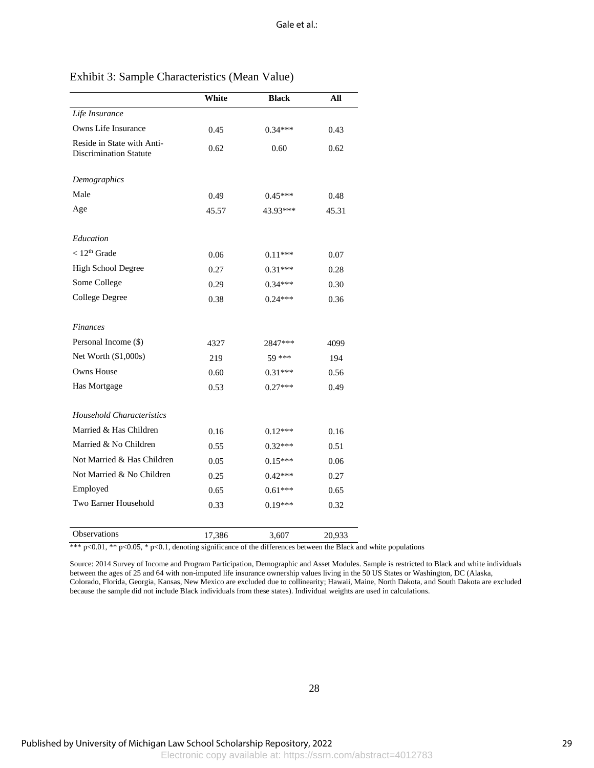|                                                             | White  | <b>Black</b> | All    |
|-------------------------------------------------------------|--------|--------------|--------|
| Life Insurance                                              |        |              |        |
| Owns Life Insurance                                         | 0.45   | $0.34***$    | 0.43   |
| Reside in State with Anti-<br><b>Discrimination Statute</b> | 0.62   | 0.60         | 0.62   |
| Demographics                                                |        |              |        |
| Male                                                        | 0.49   | $0.45***$    | 0.48   |
| Age                                                         | 45.57  | 43.93***     | 45.31  |
| Education                                                   |        |              |        |
| $< 12th$ Grade                                              | 0.06   | $0.11***$    | 0.07   |
| High School Degree                                          | 0.27   | $0.31***$    | 0.28   |
| Some College                                                | 0.29   | $0.34***$    | 0.30   |
| College Degree                                              | 0.38   | $0.24***$    | 0.36   |
| <b>Finances</b>                                             |        |              |        |
| Personal Income (\$)                                        | 4327   | 2847***      | 4099   |
| Net Worth (\$1,000s)                                        | 219    | 59 ***       | 194    |
| <b>Owns House</b>                                           | 0.60   | $0.31***$    | 0.56   |
| Has Mortgage                                                | 0.53   | $0.27***$    | 0.49   |
| Household Characteristics                                   |        |              |        |
| Married & Has Children                                      | 0.16   | $0.12***$    | 0.16   |
| Married & No Children                                       | 0.55   | $0.32***$    | 0.51   |
| Not Married & Has Children                                  | 0.05   | $0.15***$    | 0.06   |
| Not Married & No Children                                   | 0.25   | $0.42***$    | 0.27   |
| Employed                                                    | 0.65   | $0.61***$    | 0.65   |
| Two Earner Household                                        | 0.33   | $0.19***$    | 0.32   |
| <b>Observations</b>                                         | 17,386 | 3,607        | 20,933 |

### Exhibit 3: Sample Characteristics (Mean Value)

\*\*\* p<0.01, \*\* p<0.05, \* p<0.1, denoting significance of the differences between the Black and white populations

Source: 2014 Survey of Income and Program Participation, Demographic and Asset Modules. Sample is restricted to Black and white individuals between the ages of 25 and 64 with non-imputed life insurance ownership values living in the 50 US States or Washington, DC (Alaska, Colorado, Florida, Georgia, Kansas, New Mexico are excluded due to collinearity; Hawaii, Maine, North Dakota, and South Dakota are excluded because the sample did not include Black individuals from these states). Individual weights are used in calculations.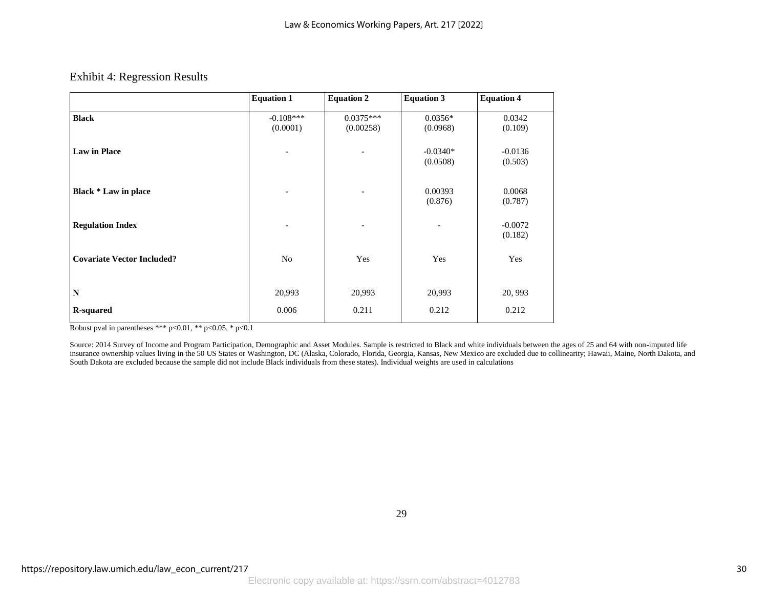#### Exhibit 4: Regression Results

|                                   | <b>Equation 1</b>            | <b>Equation 2</b>        | <b>Equation 3</b>      | <b>Equation 4</b>    |
|-----------------------------------|------------------------------|--------------------------|------------------------|----------------------|
| <b>Black</b>                      | $-0.108***$<br>(0.0001)      | $0.0375***$<br>(0.00258) | $0.0356*$<br>(0.0968)  | 0.0342<br>(0.109)    |
| <b>Law in Place</b>               |                              |                          | $-0.0340*$<br>(0.0508) | $-0.0136$<br>(0.503) |
| Black * Law in place              | $\qquad \qquad \blacksquare$ | $\overline{\phantom{a}}$ | 0.00393<br>(0.876)     | 0.0068<br>(0.787)    |
| <b>Regulation Index</b>           | $\overline{\phantom{0}}$     | $\qquad \qquad$          |                        | $-0.0072$<br>(0.182) |
| <b>Covariate Vector Included?</b> | No                           | Yes                      | Yes                    | Yes                  |
| $\mathbf N$                       | 20,993                       | 20,993                   | 20,993                 | 20, 993              |
| <b>R-squared</b>                  | 0.006                        | 0.211                    | 0.212                  | 0.212                |

Robust pval in parentheses \*\*\*  $p < 0.01$ , \*\*  $p < 0.05$ , \*  $p < 0.1$ 

Source: 2014 Survey of Income and Program Participation, Demographic and Asset Modules. Sample is restricted to Black and white individuals between the ages of 25 and 64 with non-imputed life insurance ownership values living in the 50 US States or Washington, DC (Alaska, Colorado, Florida, Georgia, Kansas, New Mexico are excluded due to collinearity; Hawaii, Maine, North Dakota, and South Dakota are excluded because the sample did not include Black individuals from these states). Individual weights are used in calculations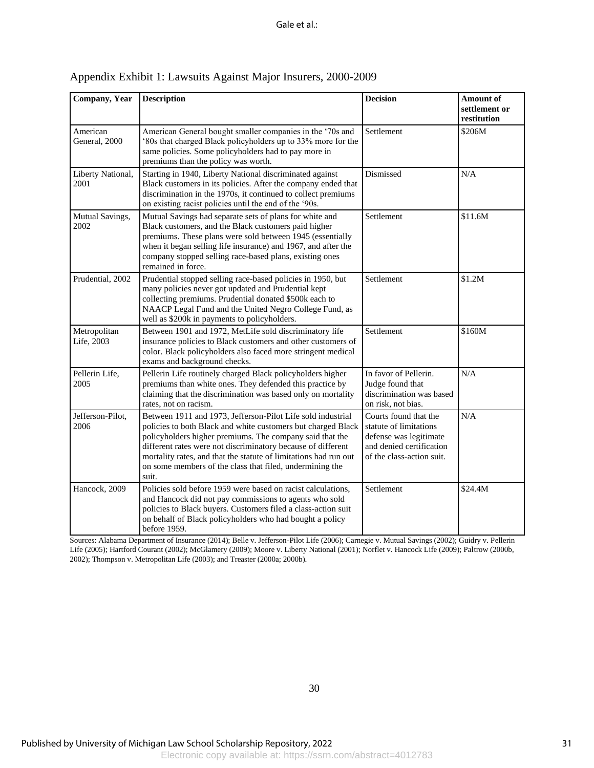| Company, Year              | <b>Description</b>                                                                                                                                                                                                                                                                                                                                                                               | <b>Decision</b>                                                                                                                    | Amount of<br>settlement or<br>restitution |
|----------------------------|--------------------------------------------------------------------------------------------------------------------------------------------------------------------------------------------------------------------------------------------------------------------------------------------------------------------------------------------------------------------------------------------------|------------------------------------------------------------------------------------------------------------------------------------|-------------------------------------------|
| American<br>General, 2000  | American General bought smaller companies in the '70s and<br>'80s that charged Black policyholders up to 33% more for the<br>same policies. Some policyholders had to pay more in<br>premiums than the policy was worth.                                                                                                                                                                         | Settlement                                                                                                                         | \$206M                                    |
| Liberty National,<br>2001  | Starting in 1940, Liberty National discriminated against<br>Black customers in its policies. After the company ended that<br>discrimination in the 1970s, it continued to collect premiums<br>on existing racist policies until the end of the '90s.                                                                                                                                             | Dismissed                                                                                                                          | N/A                                       |
| Mutual Savings,<br>2002    | Mutual Savings had separate sets of plans for white and<br>Black customers, and the Black customers paid higher<br>premiums. These plans were sold between 1945 (essentially<br>when it began selling life insurance) and 1967, and after the<br>company stopped selling race-based plans, existing ones<br>remained in force.                                                                   | Settlement                                                                                                                         | \$11.6M                                   |
| Prudential, 2002           | Prudential stopped selling race-based policies in 1950, but<br>many policies never got updated and Prudential kept<br>collecting premiums. Prudential donated \$500k each to<br>NAACP Legal Fund and the United Negro College Fund, as<br>well as \$200k in payments to policyholders.                                                                                                           | Settlement                                                                                                                         | \$1.2M                                    |
| Metropolitan<br>Life, 2003 | Between 1901 and 1972, MetLife sold discriminatory life<br>insurance policies to Black customers and other customers of<br>color. Black policyholders also faced more stringent medical<br>exams and background checks.                                                                                                                                                                          | Settlement                                                                                                                         | \$160M                                    |
| Pellerin Life,<br>2005     | Pellerin Life routinely charged Black policyholders higher<br>premiums than white ones. They defended this practice by<br>claiming that the discrimination was based only on mortality<br>rates, not on racism.                                                                                                                                                                                  | In favor of Pellerin.<br>Judge found that<br>discrimination was based<br>on risk, not bias.                                        | N/A                                       |
| Jefferson-Pilot,<br>2006   | Between 1911 and 1973, Jefferson-Pilot Life sold industrial<br>policies to both Black and white customers but charged Black<br>policyholders higher premiums. The company said that the<br>different rates were not discriminatory because of different<br>mortality rates, and that the statute of limitations had run out<br>on some members of the class that filed, undermining the<br>suit. | Courts found that the<br>statute of limitations<br>defense was legitimate<br>and denied certification<br>of the class-action suit. | N/A                                       |
| Hancock, 2009              | Policies sold before 1959 were based on racist calculations,<br>and Hancock did not pay commissions to agents who sold<br>policies to Black buyers. Customers filed a class-action suit<br>on behalf of Black policyholders who had bought a policy<br>before 1959.                                                                                                                              | Settlement                                                                                                                         | \$24.4M                                   |

## Appendix Exhibit 1: Lawsuits Against Major Insurers, 2000-2009

Sources: Alabama Department of Insurance (2014); Belle v. Jefferson-Pilot Life (2006); Carnegie v. Mutual Savings (2002); Guidry v. Pellerin Life (2005); Hartford Courant (2002); McGlamery (2009); Moore v. Liberty National (2001); Norflet v. Hancock Life (2009); Paltrow (2000b, 2002); Thompson v. Metropolitan Life (2003); and Treaster (2000a; 2000b).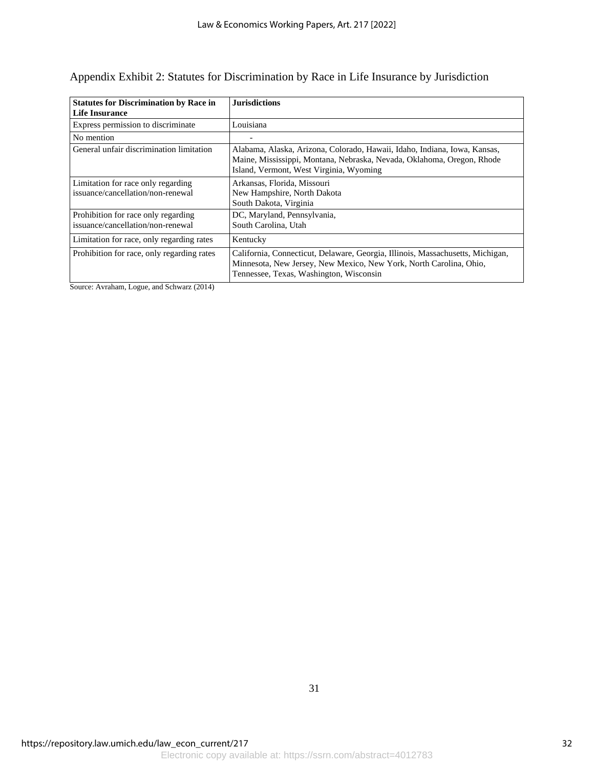| <b>Statutes for Discrimination by Race in</b><br>Life Insurance          | <b>Jurisdictions</b>                                                                                                                                                                            |
|--------------------------------------------------------------------------|-------------------------------------------------------------------------------------------------------------------------------------------------------------------------------------------------|
| Express permission to discriminate                                       | Louisiana                                                                                                                                                                                       |
| No mention                                                               |                                                                                                                                                                                                 |
| General unfair discrimination limitation                                 | Alabama, Alaska, Arizona, Colorado, Hawaii, Idaho, Indiana, Iowa, Kansas,<br>Maine, Mississippi, Montana, Nebraska, Nevada, Oklahoma, Oregon, Rhode<br>Island, Vermont, West Virginia, Wyoming  |
| Limitation for race only regarding<br>issuance/cancellation/non-renewal  | Arkansas, Florida, Missouri<br>New Hampshire, North Dakota<br>South Dakota, Virginia                                                                                                            |
| Prohibition for race only regarding<br>issuance/cancellation/non-renewal | DC, Maryland, Pennsylvania,<br>South Carolina, Utah                                                                                                                                             |
| Limitation for race, only regarding rates                                | Kentucky                                                                                                                                                                                        |
| Prohibition for race, only regarding rates                               | California, Connecticut, Delaware, Georgia, Illinois, Massachusetts, Michigan,<br>Minnesota, New Jersey, New Mexico, New York, North Carolina, Ohio,<br>Tennessee, Texas, Washington, Wisconsin |

## Appendix Exhibit 2: Statutes for Discrimination by Race in Life Insurance by Jurisdiction

Source: Avraham, Logue, and Schwarz (2014)